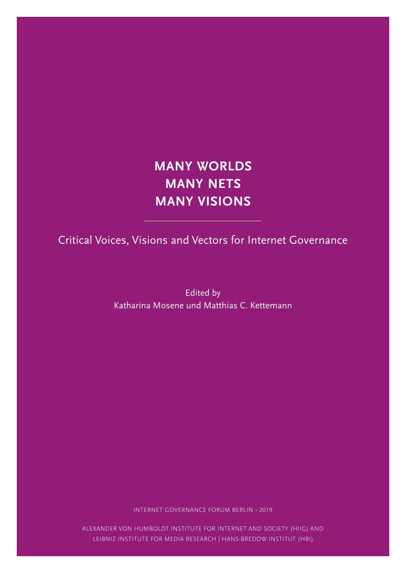# **MANY WORLDS MANY NETS MANY VISIONS**

Critical Voices, Visions and Vectors for Internet Governance

Edited by Katharina Mosene und Matthias C. Kettemann

INTERNET GOVERNANCE FORUM BERLIN • 2019

ALEXANDER VON HUMBOLDT INSTITUTE FOR INTERNET AND SOCIETY (HIIG) AND LEIBNIZ INSTITUTE FOR MEDIA RESEARCH | HANS-BREDOW-INSTITUT (HBI)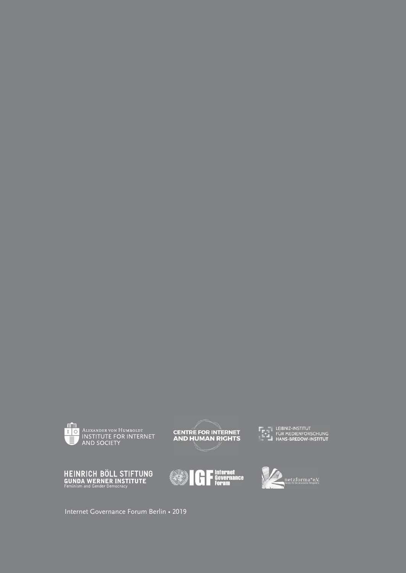



LEIBNIZ-INSTITUT<br>FÜR MEDIENFORSCHUNG<br>HANS-BREDOW-INSTITUT







Internet Governance Forum Berlin • 2019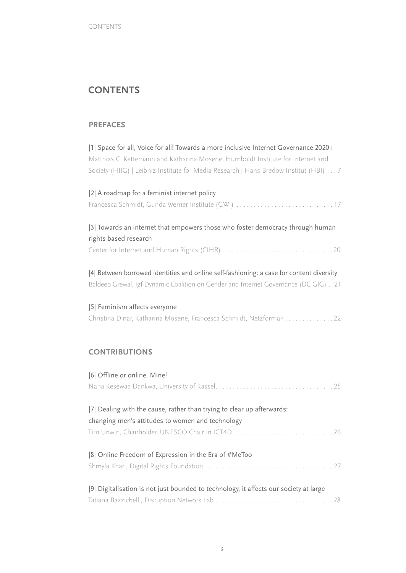# **CONTENTS**

#### **PREFACES**

|1| Space for all, Voice for all! Towards a more inclusive Internet Governance 2020+ Matthias C. Kettemann and Katharina Mosene, Humboldt Institute for Internet and Society (HIIG) | Leibniz-Institute for Media Research | Hans-Bredow-Institut (HBI) . . 7

| [2] A roadmap for a feminist internet policy |
|----------------------------------------------|
|                                              |
|                                              |

| [3] Towards an internet that empowers those who foster democracy through human |
|--------------------------------------------------------------------------------|
| rights based research                                                          |
|                                                                                |

|4| Between borrowed identities and online self-fashioning: a case for content diversity Baldeep Grewal, Igf Dynamic Coalition on Gender and Internet Governance (DC GIG) . 21

|5| Feminism affects everyone Christina Dinar, Katharina Mosene, Francesca Schmidt, Netzforma\* . . . . . . . . . . . . . 22

### **CONTRIBUTIONS**

| [6] Offline or online. Mine!                                                          |
|---------------------------------------------------------------------------------------|
|                                                                                       |
|                                                                                       |
| [7] Dealing with the cause, rather than trying to clear up afterwards:                |
| changing men's attitudes to women and technology                                      |
| Tim Unwin, Chairholder, UNESCO Chair in ICT4D26                                       |
| 8 Online Freedom of Expression in the Era of #MeToo                                   |
|                                                                                       |
| [9] Digitalisation is not just bounded to technology, it affects our society at large |
|                                                                                       |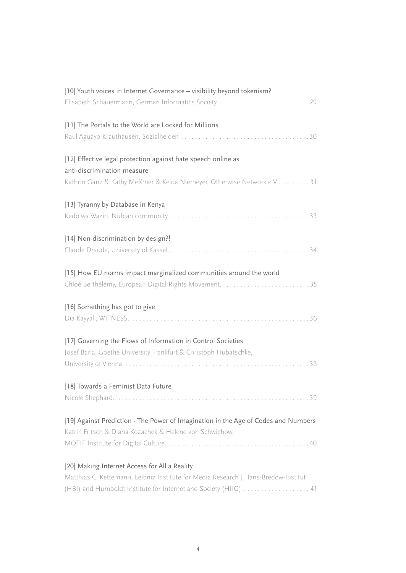| 10  Youth voices in Internet Governance - visibility beyond tokenism?              |
|------------------------------------------------------------------------------------|
| Elisabeth Schauermann, German Informatics Society 29                               |
| [11] The Portals to the World are Locked for Millions                              |
|                                                                                    |
| [12] Effective legal protection against hate speech online as                      |
| anti-discrimination measure                                                        |
| Kathrin Ganz & Kathy Meßmer & Kelda Niemeyer, Otherwise Network e.V 31             |
| [13] Tyranny by Database in Kenya                                                  |
|                                                                                    |
| [14] Non-discrimination by design?!                                                |
|                                                                                    |
| [15] How EU norms impact marginalized communities around the world                 |
|                                                                                    |
| [16] Something has got to give                                                     |
|                                                                                    |
| [17] Governing the Flows of Information in Control Societies                       |
| Josef Barla, Goethe University Frankfurt & Christoph Hubatschke,                   |
|                                                                                    |
| [18] Towards a Feminist Data Future                                                |
|                                                                                    |
| [19] Against Prediction - The Power of Imagination in the Age of Codes and Numbers |
| Katrin Fritsch & Diana Kozachek & Helene von Schwichow,                            |
|                                                                                    |
| [20] Making Internet Access for All a Reality                                      |
| Matthias C. Kettemann, Leibniz Institute for Media Research   Hans-Bredow-Institut |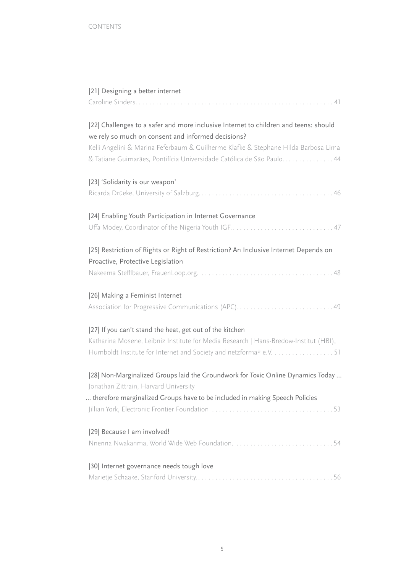| [21] Designing a better internet                                                                                                                                                                                                                                                                         |
|----------------------------------------------------------------------------------------------------------------------------------------------------------------------------------------------------------------------------------------------------------------------------------------------------------|
| [22] Challenges to a safer and more inclusive Internet to children and teens: should<br>we rely so much on consent and informed decisions?<br>Kelli Angelini & Marina Feferbaum & Guilherme Klafke & Stephane Hilda Barbosa Lima<br>& Tatiane Guimarães, Pontifícia Universidade Católica de São Paulo44 |
| [23] 'Solidarity is our weapon'                                                                                                                                                                                                                                                                          |
| [24] Enabling Youth Participation in Internet Governance                                                                                                                                                                                                                                                 |
| [25] Restriction of Rights or Right of Restriction? An Inclusive Internet Depends on<br>Proactive, Protective Legislation                                                                                                                                                                                |
| [26] Making a Feminist Internet<br>Association for Progressive Communications (APC)49                                                                                                                                                                                                                    |
| [27] If you can't stand the heat, get out of the kitchen<br>Katharina Mosene, Leibniz Institute for Media Research   Hans-Bredow-Institut (HBI),<br>Humboldt Institute for Internet and Society and netzforma* e.V. 51                                                                                   |
| [28] Non-Marginalized Groups laid the Groundwork for Toxic Online Dynamics Today<br>Jonathan Zittrain, Harvard University<br>therefore marginalized Groups have to be included in making Speech Policies                                                                                                 |
| [29] Because I am involved!<br>Nnenna Nwakanma, World Wide Web Foundation. 54                                                                                                                                                                                                                            |
| [30] Internet governance needs tough love                                                                                                                                                                                                                                                                |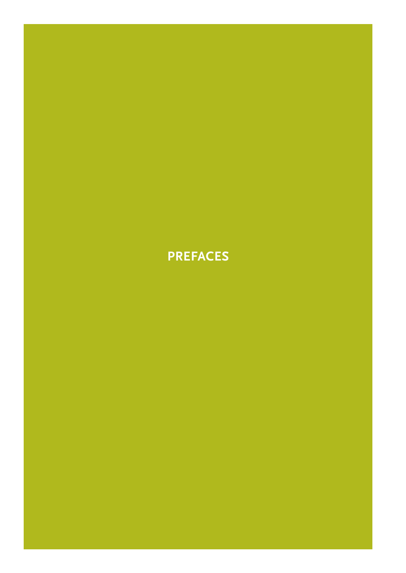# **PREFACES**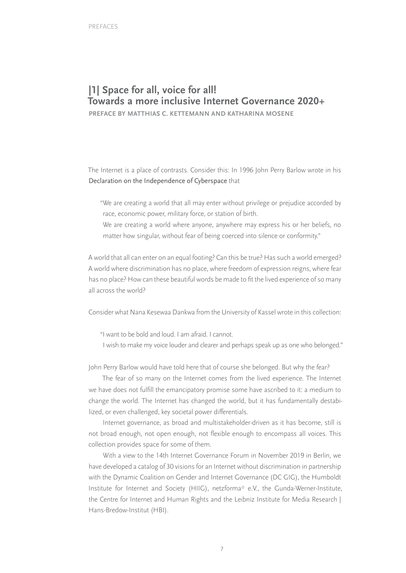# **|1| Space for all, voice for all! Towards a more inclusive Internet Governance 2020+**

**PREFACE BY MATTHIAS C. KETTEMANN AND KATHARINA MOSENE**

The Internet is a place of contrasts. Consider this: In 1996 John Perry Barlow wrote in his Declaration on the Independence of Cyberspace that

- "We are creating a world that all may enter without privilege or prejudice accorded by race, economic power, military force, or station of birth.
- We are creating a world where anyone, anywhere may express his or her beliefs, no matter how singular, without fear of being coerced into silence or conformity."

A world that all can enter on an equal footing? Can this be true? Has such a world emerged? A world where discrimination has no place, where freedom of expression reigns, where fear has no place? How can these beautiful words be made to fit the lived experience of so many all across the world?

Consider what Nana Kesewaa Dankwa from the University of Kassel wrote in this collection:

"I want to be bold and loud. I am afraid. I cannot.

I wish to make my voice louder and clearer and perhaps speak up as one who belonged."

John Perry Barlow would have told here that of course she belonged. But why the fear?

The fear of so many on the Internet comes from the lived experience. The Internet we have does not fulfill the emancipatory promise some have ascribed to it: a medium to change the world. The Internet has changed the world, but it has fundamentally destabilized, or even challenged, key societal power differentials.

Internet governance, as broad and multistakeholder-driven as it has become, still is not broad enough, not open enough, not flexible enough to encompass all voices. This collection provides space for some of them.

With a view to the 14th Internet Governance Forum in November 2019 in Berlin, we have developed a catalog of 30 visions for an Internet without discrimination in partnership with the Dynamic Coalition on Gender and Internet Governance (DC GIG), the Humboldt Institute for Internet and Society (HIIG), netzforma\* e.V., the Gunda-Werner-Institute, the Centre for Internet and Human Rights and the Leibniz Institute for Media Research | Hans-Bredow-Institut (HBI).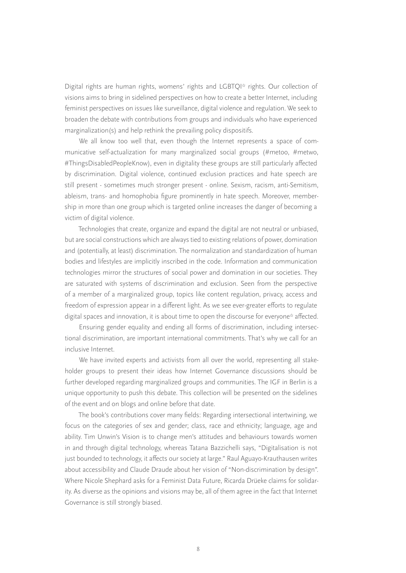Digital rights are human rights, womens' rights and LGBTQI\* rights. Our collection of visions aims to bring in sidelined perspectives on how to create a better Internet, including feminist perspectives on issues like surveillance, digital violence and regulation. We seek to broaden the debate with contributions from groups and individuals who have experienced marginalization(s) and help rethink the prevailing policy dispositifs.

We all know too well that, even though the Internet represents a space of communicative self-actualization for many marginalized social groups (#metoo, #metwo, #ThingsDisabledPeopleKnow), even in digitality these groups are still particularly affected by discrimination. Digital violence, continued exclusion practices and hate speech are still present - sometimes much stronger present - online. Sexism, racism, anti-Semitism, ableism, trans- and homophobia figure prominently in hate speech. Moreover, membership in more than one group which is targeted online increases the danger of becoming a victim of digital violence.

Technologies that create, organize and expand the digital are not neutral or unbiased, but are social constructions which are always tied to existing relations of power, domination and (potentially, at least) discrimination. The normalization and standardization of human bodies and lifestyles are implicitly inscribed in the code. Information and communication technologies mirror the structures of social power and domination in our societies. They are saturated with systems of discrimination and exclusion. Seen from the perspective of a member of a marginalized group, topics like content regulation, privacy, access and freedom of expression appear in a different light. As we see ever-greater efforts to regulate digital spaces and innovation, it is about time to open the discourse for everyone\* affected.

Ensuring gender equality and ending all forms of discrimination, including intersectional discrimination, are important international commitments. That's why we call for an inclusive Internet.

We have invited experts and activists from all over the world, representing all stakeholder groups to present their ideas how Internet Governance discussions should be further developed regarding marginalized groups and communities. The IGF in Berlin is a unique opportunity to push this debate. This collection will be presented on the sidelines of the event and on blogs and online before that date.

The book's contributions cover many fields: Regarding intersectional intertwining, we focus on the categories of sex and gender; class, race and ethnicity; language, age and ability. Tim Unwin's Vision is to change men's attitudes and behaviours towards women in and through digital technology, whereas Tatana Bazzichelli says, "Digitalisation is not just bounded to technology, it affects our society at large." Raul Aguayo-Krauthausen writes about accessibility and Claude Draude about her vision of "Non-discrimination by design". Where Nicole Shephard asks for a Feminist Data Future, Ricarda Drüeke claims for solidarity. As diverse as the opinions and visions may be, all of them agree in the fact that Internet Governance is still strongly biased.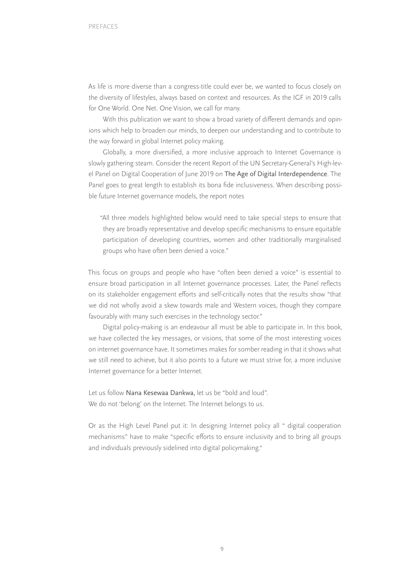As life is more diverse than a congress-title could ever be, we wanted to focus closely on the diversity of lifestyles, always based on context and resources. As the IGF in 2019 calls for One World. One Net. One Vision, we call for many.

With this publication we want to show a broad variety of different demands and opinions which help to broaden our minds, to deepen our understanding and to contribute to the way forward in global Internet policy making.

Globally, a more diversified, a more inclusive approach to Internet Governance is slowly gathering steam. Consider the recent Report of the UN Secretary-General's High-level Panel on Digital Cooperation of June 2019 on The Age of Digital Interdependence. The Panel goes to great length to establish its bona fide inclusiveness. When describing possible future Internet governance models, the report notes

"All three models highlighted below would need to take special steps to ensure that they are broadly representative and develop specific mechanisms to ensure equitable participation of developing countries, women and other traditionally marginalised groups who have often been denied a voice."

This focus on groups and people who have "often been denied a voice" is essential to ensure broad participation in all Internet governance processes. Later, the Panel reflects on its stakeholder engagement efforts and self-critically notes that the results show "that we did not wholly avoid a skew towards male and Western voices, though they compare favourably with many such exercises in the technology sector."

Digital policy-making is an endeavour all must be able to participate in. In this book, we have collected the key messages, or visions, that some of the most interesting voices on internet governance have. It sometimes makes for somber reading in that it shows what we still need to achieve, but it also points to a future we must strive for, a more inclusive Internet governance for a better Internet.

Let us follow Nana Kesewaa Dankwa, let us be "bold and loud". We do not 'belong' on the Internet. The Internet belongs to us.

Or as the High Level Panel put it: In designing Internet policy all " digital cooperation mechanisms" have to make "specific efforts to ensure inclusivity and to bring all groups and individuals previously sidelined into digital policymaking."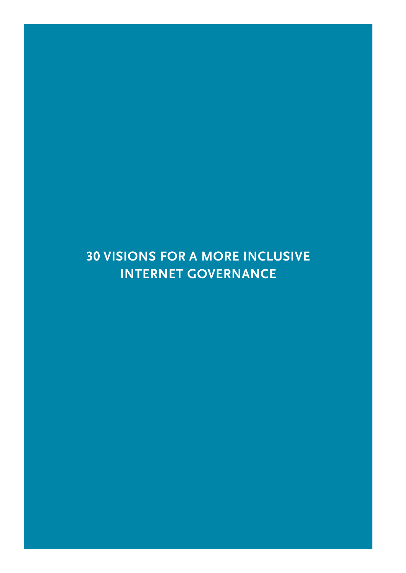# **30 VISIONS FOR A MORE INCLUSIVE INTERNET GOVERNANCE**

10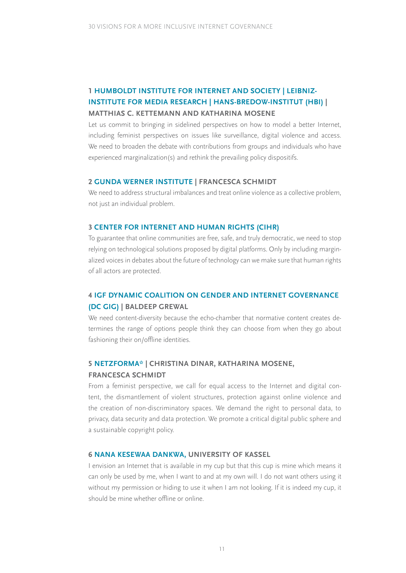### **1 HUMBOLDT INSTITUTE FOR INTERNET AND SOCIETY | LEIBNIZ-INSTITUTE FOR MEDIA RESEARCH | HANS-BREDOW-INSTITUT (HBI) | MATTHIAS C. KETTEMANN AND KATHARINA MOSENE**

Let us commit to bringing in sidelined perspectives on how to model a better Internet, including feminist perspectives on issues like surveillance, digital violence and access. We need to broaden the debate with contributions from groups and individuals who have experienced marginalization(s) and rethink the prevailing policy dispositifs.

#### **2 GUNDA WERNER INSTITUTE | FRANCESCA SCHMIDT**

We need to address structural imbalances and treat online violence as a collective problem, not just an individual problem.

#### **3 CENTER FOR INTERNET AND HUMAN RIGHTS (CIHR)**

To guarantee that online communities are free, safe, and truly democratic, we need to stop relying on technological solutions proposed by digital platforms. Only by including marginalized voices in debates about the future of technology can we make sure that human rights of all actors are protected.

### **4 IGF DYNAMIC COALITION ON GENDER AND INTERNET GOVERNANCE (DC GIG) | BALDEEP GREWAL**

We need content-diversity because the echo-chamber that normative content creates determines the range of options people think they can choose from when they go about fashioning their on/offline identities.

### **5 NETZFORMA\* | CHRISTINA DINAR, KATHARINA MOSENE, FRANCESCA SCHMIDT**

From a feminist perspective, we call for equal access to the Internet and digital content, the dismantlement of violent structures, protection against online violence and the creation of non-discriminatory spaces. We demand the right to personal data, to privacy, data security and data protection. We promote a critical digital public sphere and a sustainable copyright policy.

#### **6 NANA KESEWAA DANKWA, UNIVERSITY OF KASSEL**

I envision an Internet that is available in my cup but that this cup is mine which means it can only be used by me, when I want to and at my own will. I do not want others using it without my permission or hiding to use it when I am not looking. If it is indeed my cup, it should be mine whether offline or online.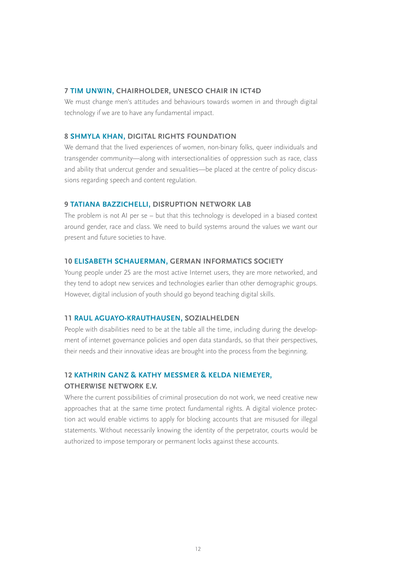#### **7 TIM UNWIN, CHAIRHOLDER, UNESCO CHAIR IN ICT4D**

We must change men's attitudes and behaviours towards women in and through digital technology if we are to have any fundamental impact.

#### **8 SHMYLA KHAN, DIGITAL RIGHTS FOUNDATION**

We demand that the lived experiences of women, non-binary folks, queer individuals and transgender community—along with intersectionalities of oppression such as race, class and ability that undercut gender and sexualities—be placed at the centre of policy discussions regarding speech and content regulation.

#### **9 TATIANA BAZZICHELLI, DISRUPTION NETWORK LAB**

The problem is not AI per se – but that this technology is developed in a biased context around gender, race and class. We need to build systems around the values we want our present and future societies to have.

#### **10 ELISABETH SCHAUERMAN, GERMAN INFORMATICS SOCIETY**

Young people under 25 are the most active Internet users, they are more networked, and they tend to adopt new services and technologies earlier than other demographic groups. However, digital inclusion of youth should go beyond teaching digital skills.

#### **11 RAUL AGUAYO-KRAUTHAUSEN, SOZIALHELDEN**

People with disabilities need to be at the table all the time, including during the development of internet governance policies and open data standards, so that their perspectives, their needs and their innovative ideas are brought into the process from the beginning.

#### **12 KATHRIN GANZ & KATHY MESSMER & KELDA NIEMEYER,**

#### **OTHERWISE NETWORK E.V.**

Where the current possibilities of criminal prosecution do not work, we need creative new approaches that at the same time protect fundamental rights. A digital violence protection act would enable victims to apply for blocking accounts that are misused for illegal statements. Without necessarily knowing the identity of the perpetrator, courts would be authorized to impose temporary or permanent locks against these accounts.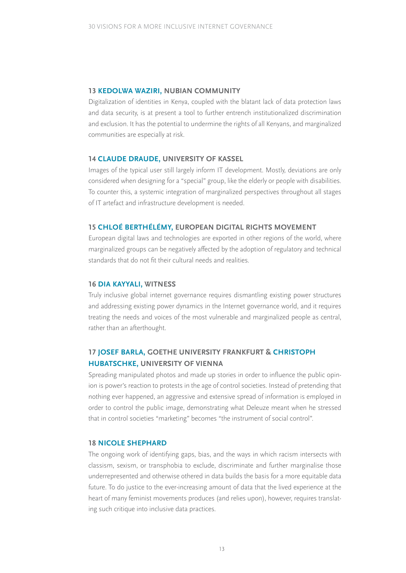#### **13 KEDOLWA WAZIRI, NUBIAN COMMUNITY**

Digitalization of identities in Kenya, coupled with the blatant lack of data protection laws and data security, is at present a tool to further entrench institutionalized discrimination and exclusion. It has the potential to undermine the rights of all Kenyans, and marginalized communities are especially at risk.

#### **14 CLAUDE DRAUDE, UNIVERSITY OF KASSEL**

Images of the typical user still largely inform IT development. Mostly, deviations are only considered when designing for a "special" group, like the elderly or people with disabilities. To counter this, a systemic integration of marginalized perspectives throughout all stages of IT artefact and infrastructure development is needed.

#### **15 CHLOÉ BERTHÉLÉMY, EUROPEAN DIGITAL RIGHTS MOVEMENT**

European digital laws and technologies are exported in other regions of the world, where marginalized groups can be negatively affected by the adoption of regulatory and technical standards that do not fit their cultural needs and realities.

#### **16 DIA KAYYALI, WITNESS**

Truly inclusive global internet governance requires dismantling existing power structures and addressing existing power dynamics in the Internet governance world, and it requires treating the needs and voices of the most vulnerable and marginalized people as central, rather than an afterthought.

### **17 JOSEF BARLA, GOETHE UNIVERSITY FRANKFURT & CHRISTOPH HUBATSCHKE, UNIVERSITY OF VIENNA**

Spreading manipulated photos and made up stories in order to influence the public opinion is power's reaction to protests in the age of control societies. Instead of pretending that nothing ever happened, an aggressive and extensive spread of information is employed in order to control the public image, demonstrating what Deleuze meant when he stressed that in control societies "marketing" becomes "the instrument of social control".

#### **18 NICOLE SHEPHARD**

The ongoing work of identifying gaps, bias, and the ways in which racism intersects with classism, sexism, or transphobia to exclude, discriminate and further marginalise those underrepresented and otherwise othered in data builds the basis for a more equitable data future. To do justice to the ever-increasing amount of data that the lived experience at the heart of many feminist movements produces (and relies upon), however, requires translating such critique into inclusive data practices.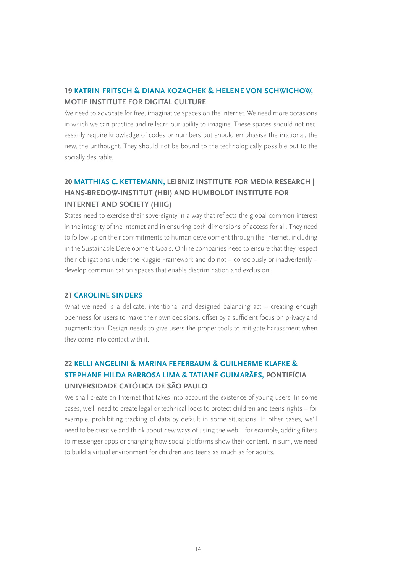### **19 KATRIN FRITSCH & DIANA KOZACHEK & HELENE VON SCHWICHOW, MOTIF INSTITUTE FOR DIGITAL CULTURE**

We need to advocate for free, imaginative spaces on the internet. We need more occasions in which we can practice and re-learn our ability to imagine. These spaces should not necessarily require knowledge of codes or numbers but should emphasise the irrational, the new, the unthought. They should not be bound to the technologically possible but to the socially desirable.

### **20 MATTHIAS C. KETTEMANN, LEIBNIZ INSTITUTE FOR MEDIA RESEARCH | HANS-BREDOW-INSTITUT (HBI) AND HUMBOLDT INSTITUTE FOR INTERNET AND SOCIETY (HIIG)**

States need to exercise their sovereignty in a way that reflects the global common interest in the integrity of the internet and in ensuring both dimensions of access for all. They need to follow up on their commitments to human development through the Internet, including in the Sustainable Development Goals. Online companies need to ensure that they respect their obligations under the Ruggie Framework and do not – consciously or inadvertently – develop communication spaces that enable discrimination and exclusion.

#### **21 CAROLINE SINDERS**

What we need is a delicate, intentional and designed balancing act – creating enough openness for users to make their own decisions, offset by a sufficient focus on privacy and augmentation. Design needs to give users the proper tools to mitigate harassment when they come into contact with it.

### **22 KELLI ANGELINI & MARINA FEFERBAUM & GUILHERME KLAFKE & STEPHANE HILDA BARBOSA LIMA & TATIANE GUIMARÃES, PONTIFÍCIA UNIVERSIDADE CATÓLICA DE SÃO PAULO**

We shall create an Internet that takes into account the existence of young users. In some cases, we'll need to create legal or technical locks to protect children and teens rights – for example, prohibiting tracking of data by default in some situations. In other cases, we'll need to be creative and think about new ways of using the web – for example, adding filters to messenger apps or changing how social platforms show their content. In sum, we need to build a virtual environment for children and teens as much as for adults.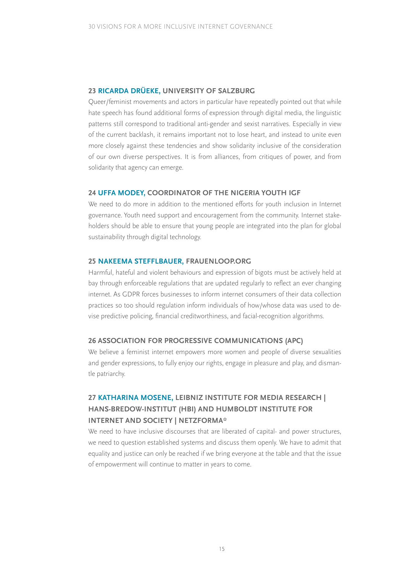#### **23 RICARDA DRÜEKE, UNIVERSITY OF SALZBURG**

Queer/feminist movements and actors in particular have repeatedly pointed out that while hate speech has found additional forms of expression through digital media, the linguistic patterns still correspond to traditional anti-gender and sexist narratives. Especially in view of the current backlash, it remains important not to lose heart, and instead to unite even more closely against these tendencies and show solidarity inclusive of the consideration of our own diverse perspectives. It is from alliances, from critiques of power, and from solidarity that agency can emerge.

#### **24 UFFA MODEY, COORDINATOR OF THE NIGERIA YOUTH IGF**

We need to do more in addition to the mentioned efforts for youth inclusion in Internet governance. Youth need support and encouragement from the community. Internet stakeholders should be able to ensure that young people are integrated into the plan for global sustainability through digital technology.

#### **25 NAKEEMA STEFFLBAUER, FRAUENLOOP.ORG**

Harmful, hateful and violent behaviours and expression of bigots must be actively held at bay through enforceable regulations that are updated regularly to reflect an ever changing internet. As GDPR forces businesses to inform internet consumers of their data collection practices so too should regulation inform individuals of how/whose data was used to devise predictive policing, financial creditworthiness, and facial-recognition algorithms.

#### **26 ASSOCIATION FOR PROGRESSIVE COMMUNICATIONS (APC)**

We believe a feminist internet empowers more women and people of diverse sexualities and gender expressions, to fully enjoy our rights, engage in pleasure and play, and dismantle patriarchy.

### **27 KATHARINA MOSENE, LEIBNIZ INSTITUTE FOR MEDIA RESEARCH | HANS-BREDOW-INSTITUT (HBI) AND HUMBOLDT INSTITUTE FOR INTERNET AND SOCIETY | NETZFORMA\***

We need to have inclusive discourses that are liberated of capital- and power structures, we need to question established systems and discuss them openly. We have to admit that equality and justice can only be reached if we bring everyone at the table and that the issue of empowerment will continue to matter in years to come.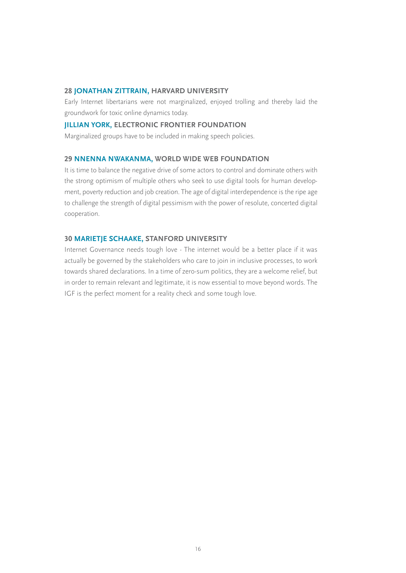#### **28 JONATHAN ZITTRAIN, HARVARD UNIVERSITY**

Early Internet libertarians were not marginalized, enjoyed trolling and thereby laid the groundwork for toxic online dynamics today.

#### **JILLIAN YORK, ELECTRONIC FRONTIER FOUNDATION**

Marginalized groups have to be included in making speech policies.

#### **29 NNENNA NWAKANMA, WORLD WIDE WEB FOUNDATION**

It is time to balance the negative drive of some actors to control and dominate others with the strong optimism of multiple others who seek to use digital tools for human development, poverty reduction and job creation. The age of digital interdependence is the ripe age to challenge the strength of digital pessimism with the power of resolute, concerted digital cooperation.

#### **30 MARIETJE SCHAAKE, STANFORD UNIVERSITY**

Internet Governance needs tough love - The internet would be a better place if it was actually be governed by the stakeholders who care to join in inclusive processes, to work towards shared declarations. In a time of zero-sum politics, they are a welcome relief, but in order to remain relevant and legitimate, it is now essential to move beyond words. The IGF is the perfect moment for a reality check and some tough love.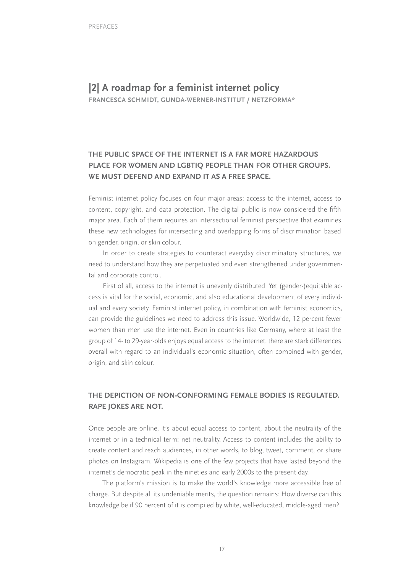# **|2| A roadmap for a feminist internet policy**

**FRANCESCA SCHMIDT, GUNDA-WERNER-INSTITUT / NETZFORMA\***

### **THE PUBLIC SPACE OF THE INTERNET IS A FAR MORE HAZARDOUS PLACE FOR WOMEN AND LGBTIQ PEOPLE THAN FOR OTHER GROUPS. WE MUST DEFEND AND EXPAND IT AS A FREE SPACE.**

Feminist internet policy focuses on four major areas: access to the internet, access to content, copyright, and data protection. The digital public is now considered the fifth major area. Each of them requires an intersectional feminist perspective that examines these new technologies for intersecting and overlapping forms of discrimination based on gender, origin, or skin colour.

In order to create strategies to counteract everyday discriminatory structures, we need to understand how they are perpetuated and even strengthened under governmental and corporate control.

First of all, access to the internet is unevenly distributed. Yet (gender-)equitable access is vital for the social, economic, and also educational development of every individual and every society. Feminist internet policy, in combination with feminist economics, can provide the guidelines we need to address this issue. Worldwide, 12 percent fewer women than men use the internet. Even in countries like Germany, where at least the group of 14- to 29-year-olds enjoys equal access to the internet, there are stark differences overall with regard to an individual's economic situation, often combined with gender, origin, and skin colour.

### **THE DEPICTION OF NON-CONFORMING FEMALE BODIES IS REGULATED. RAPE JOKES ARE NOT.**

Once people are online, it's about equal access to content, about the neutrality of the internet or in a technical term: net neutrality. Access to content includes the ability to create content and reach audiences, in other words, to blog, tweet, comment, or share photos on Instagram. Wikipedia is one of the few projects that have lasted beyond the internet's democratic peak in the nineties and early 2000s to the present day.

The platform's mission is to make the world's knowledge more accessible free of charge. But despite all its undeniable merits, the question remains: How diverse can this knowledge be if 90 percent of it is compiled by white, well-educated, middle-aged men?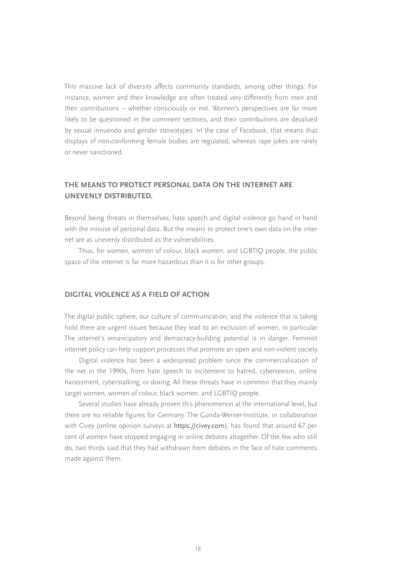This massive lack of diversity affects community standards, among other things. For instance, women and their knowledge are often treated very differently from men and their contributions – whether consciously or not. Women's perspectives are far more likely to be questioned in the comment sections, and their contributions are devalued by sexual innuendo and gender stereotypes. In the case of Facebook, that means that displays of non-conforming female bodies are regulated, whereas rape jokes are rarely or never sanctioned.

### **THE MEANS TO PROTECT PERSONAL DATA ON THE INTERNET ARE UNEVENLY DISTRIBUTED.**

Beyond being threats in themselves, hate speech and digital violence go hand in hand with the misuse of personal data. But the means to protect one's own data on the internet are as unevenly distributed as the vulnerabilities.

Thus, for women, women of colour, black women, and LGBTIQ people, the public space of the internet is far more hazardous than it is for other groups.

#### **DIGITAL VIOLENCE AS A FIELD OF ACTION**

The digital public sphere, our culture of communication, and the violence that is taking hold there are urgent issues because they lead to an exclusion of women, in particular. The internet's emancipatory and democracy-building potential is in danger. Feminist internet policy can help support processes that promote an open and non-violent society.

Digital violence has been a widespread problem since the commercialisation of the net in the 1990s, from hate speech to incitement to hatred, cybersexism, online harassment, cyberstalking, or doxing. All these threats have in common that they mainly target women, women of colour, black women, and LGBTIQ people.

Several studies have already proven this phenomenon at the international level, but there are no reliable figures for Germany. The Gunda-Werner-Institute, in collaboration with Civey (online opinion surveys at https://civey.com), has found that around 67 percent of women have stopped engaging in online debates altogether. Of the few who still do, two thirds said that they had withdrawn from debates in the face of hate comments made against them.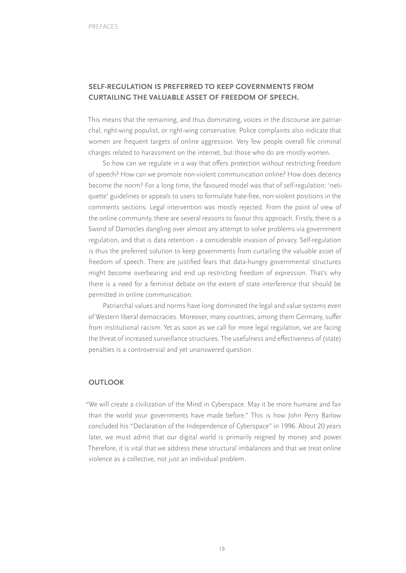### **SELF-REGULATION IS PREFERRED TO KEEP GOVERNMENTS FROM CURTAILING THE VALUABLE ASSET OF FREEDOM OF SPEECH.**

This means that the remaining, and thus dominating, voices in the discourse are patriarchal, right-wing populist, or right-wing conservative. Police complaints also indicate that women are frequent targets of online aggression. Very few people overall file criminal charges related to harassment on the internet, but those who do are mostly women.

So how can we regulate in a way that offers protection without restricting freedom of speech? How can we promote non-violent communication online? How does decency become the norm? For a long time, the favoured model was that of self-regulation: 'netiquette' guidelines or appeals to users to formulate hate-free, non-violent positions in the comments sections. Legal intervention was mostly rejected. From the point of view of the online community, there are several reasons to favour this approach. Firstly, there is a Sword of Damocles dangling over almost any attempt to solve problems via government regulation, and that is data retention - a considerable invasion of privacy. Self-regulation is thus the preferred solution to keep governments from curtailing the valuable asset of freedom of speech. There are justified fears that data-hungry governmental structures might become overbearing and end up restricting freedom of expression. That's why there is a need for a feminist debate on the extent of state interference that should be permitted in online communication.

Patriarchal values and norms have long dominated the legal and value systems even of Western liberal democracies. Moreover, many countries, among them Germany, suffer from institutional racism. Yet as soon as we call for more legal regulation, we are facing the threat of increased surveillance structures. The usefulness and effectiveness of (state) penalties is a controversial and yet unanswered question.

#### **OUTLOOK**

"We will create a civilization of the Mind in Cyberspace. May it be more humane and fair than the world your governments have made before." This is how John Perry Barlow concluded his "Declaration of the Independence of Cyberspace" in 1996. About 20 years later, we must admit that our digital world is primarily reigned by money and power. Therefore, it is vital that we address these structural imbalances and that we treat online violence as a collective, not just an individual problem.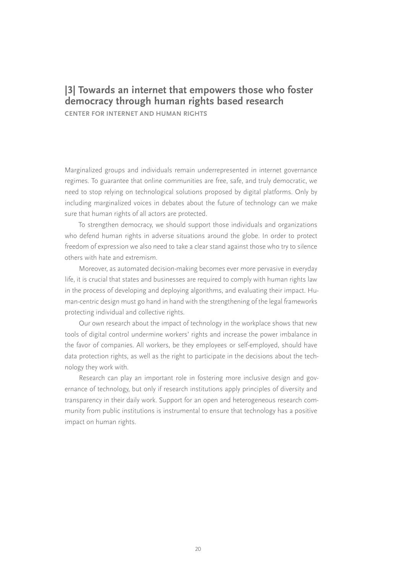# **|3| Towards an internet that empowers those who foster democracy through human rights based research**

**CENTER FOR INTERNET AND HUMAN RIGHTS**

Marginalized groups and individuals remain underrepresented in internet governance regimes. To guarantee that online communities are free, safe, and truly democratic, we need to stop relying on technological solutions proposed by digital platforms. Only by including marginalized voices in debates about the future of technology can we make sure that human rights of all actors are protected.

To strengthen democracy, we should support those individuals and organizations who defend human rights in adverse situations around the globe. In order to protect freedom of expression we also need to take a clear stand against those who try to silence others with hate and extremism.

Moreover, as automated decision-making becomes ever more pervasive in everyday life, it is crucial that states and businesses are required to comply with human rights law in the process of developing and deploying algorithms, and evaluating their impact. Human-centric design must go hand in hand with the strengthening of the legal frameworks protecting individual and collective rights.

Our own research about the impact of technology in the workplace shows that new tools of digital control undermine workers' rights and increase the power imbalance in the favor of companies. All workers, be they employees or self-employed, should have data protection rights, as well as the right to participate in the decisions about the technology they work with.

Research can play an important role in fostering more inclusive design and governance of technology, but only if research institutions apply principles of diversity and transparency in their daily work. Support for an open and heterogeneous research community from public institutions is instrumental to ensure that technology has a positive impact on human rights.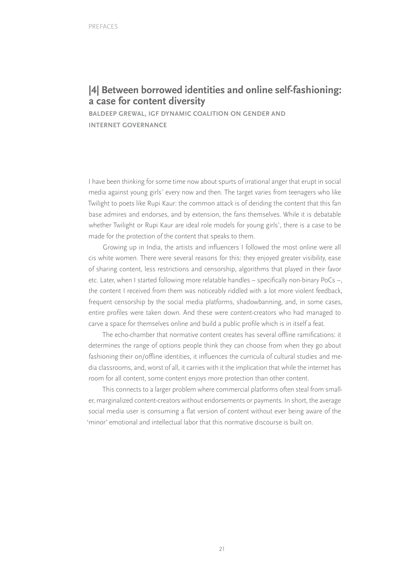# **|4| Between borrowed identities and online self-fashioning: a case for content diversity**

**BALDEEP GREWAL, IGF DYNAMIC COALITION ON GENDER AND INTERNET GOVERNANCE**

I have been thinking for some time now about spurts of irrational anger that erupt in social media against young girls $^\circ$  every now and then. The target varies from teenagers who like Twilight to poets like Rupi Kaur: the common attack is of deriding the content that this fan base admires and endorses, and by extension, the fans themselves. While it is debatable whether Twilight or Rupi Kaur are ideal role models for young girls\* , there is a case to be made for the protection of the content that speaks to them.

Growing up in India, the artists and influencers I followed the most online were all cis white women. There were several reasons for this: they enjoyed greater visibility, ease of sharing content, less restrictions and censorship, algorithms that played in their favor etc. Later, when I started following more relatable handles – specifically non-binary PoCs –, the content I received from them was noticeably riddled with a lot more violent feedback, frequent censorship by the social media platforms, shadowbanning, and, in some cases, entire profiles were taken down. And these were content-creators who had managed to carve a space for themselves online and build a public profile which is in itself a feat.

The echo-chamber that normative content creates has several offline ramifications: it determines the range of options people think they can choose from when they go about fashioning their on/offline identities, it influences the curricula of cultural studies and media classrooms, and, worst of all, it carries with it the implication that while the internet has room for all content, some content enjoys more protection than other content.

This connects to a larger problem where commercial platforms often steal from smaller, marginalized content-creators without endorsements or payments. In short, the average social media user is consuming a flat version of content without ever being aware of the 'minor' emotional and intellectual labor that this normative discourse is built on.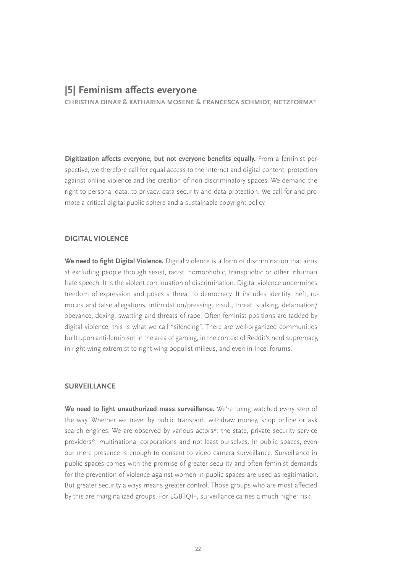## **|5| Feminism affects everyone**

**CHRISTINA DINAR & KATHARINA MOSENE & FRANCESCA SCHMIDT, NETZFORMA\***

**Digitization affects everyone, but not everyone benefits equally.** From a feminist perspective, we therefore call for equal access to the Internet and digital content, protection against online violence and the creation of non-discriminatory spaces. We demand the right to personal data, to privacy, data security and data protection. We call for and promote a critical digital public sphere and a sustainable copyright-policy.

#### **DIGITAL VIOLENCE**

**We need to fight Digital Violence.** Digital violence is a form of discrimination that aims at excluding people through sexist, racist, homophobic, transphobic or other inhuman hate speech. It is the violent continuation of discrimination. Digital violence undermines freedom of expression and poses a threat to democracy. It includes identity theft, rumours and false allegations, intimidation/pressing, insult, threat, stalking, defamation/ obeyance, doxing, swatting and threats of rape. Often feminist positions are tackled by digital violence, this is what we call "silencing". There are well-organized communities built upon anti-feminism in the area of gaming, in the context of Reddit's nerd supremacy, in right-wing extremist to right-wing populist milieus, and even in Incel forums.

#### **SURVEILLANCE**

**We need to fight unauthorized mass surveillance.** We're being watched every step of the way. Whether we travel by public transport, withdraw money, shop online or ask search engines. We are observed by various actors\*: the state, private security service providers\*, multinational corporations and not least ourselves. In public spaces, even our mere presence is enough to consent to video camera surveillance. Surveillance in public spaces comes with the promise of greater security and often feminist demands for the prevention of violence against women in public spaces are used as legitimation. But greater security always means greater control. Those groups who are most affected by this are marginalized groups. For LGBTQI\*, surveillance carries a much higher risk.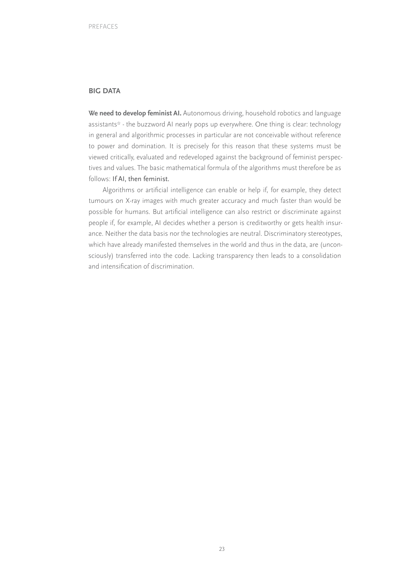#### **BIG DATA**

**We need to develop feminist AI.** Autonomous driving, household robotics and language assistants\* - the buzzword AI nearly pops up everywhere. One thing is clear: technology in general and algorithmic processes in particular are not conceivable without reference to power and domination. It is precisely for this reason that these systems must be viewed critically, evaluated and redeveloped against the background of feminist perspectives and values. The basic mathematical formula of the algorithms must therefore be as follows: If AI, then feminist.

Algorithms or artificial intelligence can enable or help if, for example, they detect tumours on X-ray images with much greater accuracy and much faster than would be possible for humans. But artificial intelligence can also restrict or discriminate against people if, for example, AI decides whether a person is creditworthy or gets health insurance. Neither the data basis nor the technologies are neutral. Discriminatory stereotypes, which have already manifested themselves in the world and thus in the data, are (unconsciously) transferred into the code. Lacking transparency then leads to a consolidation and intensification of discrimination.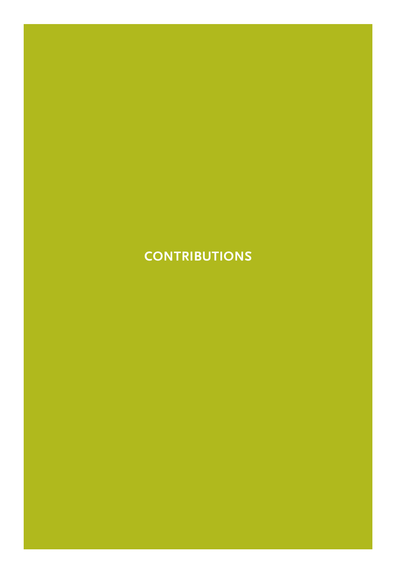# **CONTRIBUTIONS**

24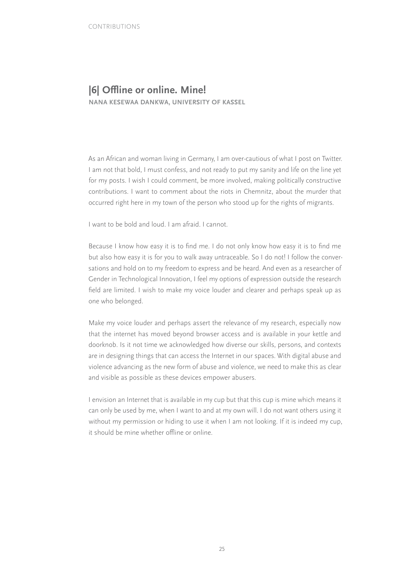# **|6| Offline or online. Mine!**

**NANA KESEWAA DANKWA, UNIVERSITY OF KASSEL**

As an African and woman living in Germany, I am over-cautious of what I post on Twitter. I am not that bold, I must confess, and not ready to put my sanity and life on the line yet for my posts. I wish I could comment, be more involved, making politically constructive contributions. I want to comment about the riots in Chemnitz, about the murder that occurred right here in my town of the person who stood up for the rights of migrants.

I want to be bold and loud. I am afraid. I cannot.

Because I know how easy it is to find me. I do not only know how easy it is to find me but also how easy it is for you to walk away untraceable. So I do not! I follow the conversations and hold on to my freedom to express and be heard. And even as a researcher of Gender in Technological Innovation, I feel my options of expression outside the research field are limited. I wish to make my voice louder and clearer and perhaps speak up as one who belonged.

Make my voice louder and perhaps assert the relevance of my research, especially now that the internet has moved beyond browser access and is available in your kettle and doorknob. Is it not time we acknowledged how diverse our skills, persons, and contexts are in designing things that can access the Internet in our spaces. With digital abuse and violence advancing as the new form of abuse and violence, we need to make this as clear and visible as possible as these devices empower abusers.

I envision an Internet that is available in my cup but that this cup is mine which means it can only be used by me, when I want to and at my own will. I do not want others using it without my permission or hiding to use it when I am not looking. If it is indeed my cup, it should be mine whether offline or online.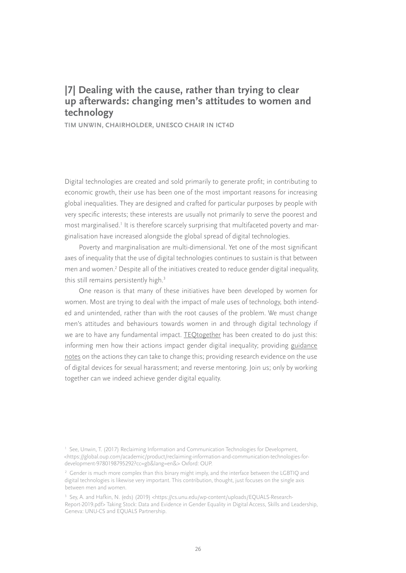# **|7| Dealing with the cause, rather than trying to clear up afterwards: changing men's attitudes to women and technology**

**TIM UNWIN, CHAIRHOLDER, UNESCO CHAIR IN ICT4D**

Digital technologies are created and sold primarily to generate profit; in contributing to economic growth, their use has been one of the most important reasons for increasing global inequalities. They are designed and crafted for particular purposes by people with very specific interests; these interests are usually not primarily to serve the poorest and  $\text{most marginalised.}$  It is therefore scarcely surprising that multifaceted poverty and marginalisation have increased alongside the global spread of digital technologies.

Poverty and marginalisation are multi-dimensional. Yet one of the most significant axes of inequality that the use of digital technologies continues to sustain is that between men and women.<sup>2</sup> Despite all of the initiatives created to reduce gender digital inequality, this still remains persistently high.<sup>3</sup>

One reason is that many of these initiatives have been developed by women for women. Most are trying to deal with the impact of male uses of technology, both intended and unintended, rather than with the root causes of the problem. We must change men's attitudes and behaviours towards women in and through digital technology if we are to have any fundamental impact. [TEQtogether](https://teqtogether.org) has been created to do just this: informing men how their actions impact gender digital inequality; providing [guidance](https://teqtogether.org/guidance-notes/)  [notes](https://teqtogether.org/guidance-notes/) on the actions they can take to change this; providing research evidence on the use of digital devices for sexual harassment; and reverse mentoring. Join us; only by working together can we indeed achieve gender digital equality.

<sup>&</sup>lt;sup>1</sup> See, Unwin, T. (2017) Reclaiming Information and Communication Technologies for Development, <[https://global.oup.com/academic/product/reclaiming-information-and-communication-technologies-for](https://global.oup.com/academic/product/reclaiming-information-and-communication-technologies-for-development-9780198795292?cc=gb&lang=en&)[development-9780198795292?cc=gb&lang=en&](https://global.oup.com/academic/product/reclaiming-information-and-communication-technologies-for-development-9780198795292?cc=gb&lang=en&)> Oxford: OUP.

<sup>&</sup>lt;sup>2</sup> Gender is much more complex than this binary might imply, and the interface between the LGBTIQ and digital technologies is likewise very important. This contribution, thought, just focuses on the single axis between men and women.

<sup>&</sup>lt;sup>3</sup> Sey, A. and Hafkin, N. (eds) (2019) [<https://cs.unu.edu/wp-content/uploads/EQUALS-Research-](https://cs.unu.edu/wp-content/uploads/EQUALS-Research-Report-2019.pdf)[Report-2019.pdf](https://cs.unu.edu/wp-content/uploads/EQUALS-Research-Report-2019.pdf)> Taking Stock: Data and Evidence in Gender Equality in Digital Access, Skills and Leadership, Geneva: UNU-CS and EQUALS Partnership.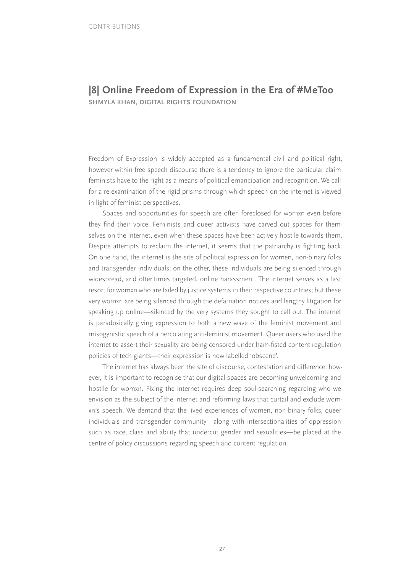### **|8| Online Freedom of Expression in the Era of #MeToo SHMYLA KHAN, DIGITAL RIGHTS FOUNDATION**

Freedom of Expression is widely accepted as a fundamental civil and political right, however within free speech discourse there is a tendency to ignore the particular claim feminists have to the right as a means of political emancipation and recognition. We call for a re-examination of the rigid prisms through which speech on the internet is viewed in light of feminist perspectives.

Spaces and opportunities for speech are often foreclosed for womxn even before they find their voice. Feminists and queer activists have carved out spaces for themselves on the internet, even when these spaces have been actively hostile towards them. Despite attempts to reclaim the internet, it seems that the patriarchy is fighting back. On one hand, the internet is the site of political expression for women, non-binary folks and transgender individuals; on the other, these individuals are being silenced through widespread, and oftentimes targeted, online harassment. The internet serves as a last resort for womxn who are failed by justice systems in their respective countries; but these very womxn are being silenced through the defamation notices and lengthy litigation for speaking up online—silenced by the very systems they sought to call out. The internet is paradoxically giving expression to both a new wave of the feminist movement and misogynistic speech of a percolating anti-feminist movement. Queer users who used the internet to assert their sexuality are being censored under ham-fisted content regulation policies of tech giants—their expression is now labelled 'obscene'.

The internet has always been the site of discourse, contestation and difference; however, it is important to recognise that our digital spaces are becoming unwelcoming and hostile for womxn. Fixing the internet requires deep soul-searching regarding who we envision as the subject of the internet and reforming laws that curtail and exclude womxn's speech. We demand that the lived experiences of women, non-binary folks, queer individuals and transgender community—along with intersectionalities of oppression such as race, class and ability that undercut gender and sexualities—be placed at the centre of policy discussions regarding speech and content regulation.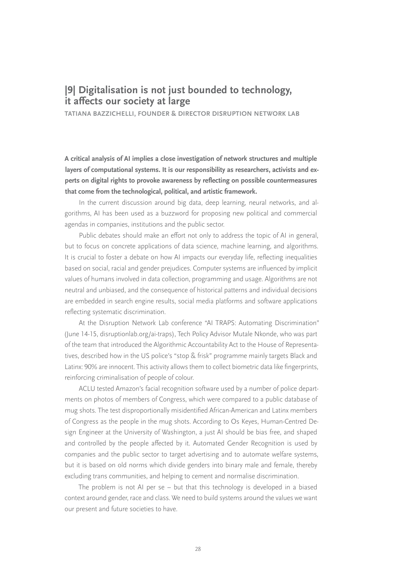# **|9| Digitalisation is not just bounded to technology, it affects our society at large**

**TATIANA BAZZICHELLI, FOUNDER & DIRECTOR DISRUPTION NETWORK LAB**

**A critical analysis of AI implies a close investigation of network structures and multiple layers of computational systems. It is our responsibility as researchers, activists and experts on digital rights to provoke awareness by reflecting on possible countermeasures that come from the technological, political, and artistic framework.**

In the current discussion around big data, deep learning, neural networks, and algorithms, AI has been used as a buzzword for proposing new political and commercial agendas in companies, institutions and the public sector.

Public debates should make an effort not only to address the topic of AI in general, but to focus on concrete applications of data science, machine learning, and algorithms. It is crucial to foster a debate on how AI impacts our everyday life, reflecting inequalities based on social, racial and gender prejudices. Computer systems are influenced by implicit values of humans involved in data collection, programming and usage. Algorithms are not neutral and unbiased, and the consequence of historical patterns and individual decisions are embedded in search engine results, social media platforms and software applications reflecting systematic discrimination.

At the Disruption Network Lab conference "AI TRAPS: Automating Discrimination" (June 14-15, disruptionlab.org/ai-traps), Tech Policy Advisor Mutale Nkonde, who was part of the team that introduced the Algorithmic Accountability Act to the House of Representatives, described how in the US police's "stop & frisk" programme mainly targets Black and Latinx: 90% are innocent. This activity allows them to collect biometric data like fingerprints, reinforcing criminalisation of people of colour.

ACLU tested Amazon's facial recognition software used by a number of police departments on photos of members of Congress, which were compared to a public database of mug shots. The test disproportionally misidentified African-American and Latinx members of Congress as the people in the mug shots. According to Os Keyes, Human-Centred Design Engineer at the University of Washington, a just AI should be bias free, and shaped and controlled by the people affected by it. Automated Gender Recognition is used by companies and the public sector to target advertising and to automate welfare systems, but it is based on old norms which divide genders into binary male and female, thereby excluding trans communities, and helping to cement and normalise discrimination.

The problem is not AI per se – but that this technology is developed in a biased context around gender, race and class. We need to build systems around the values we want our present and future societies to have.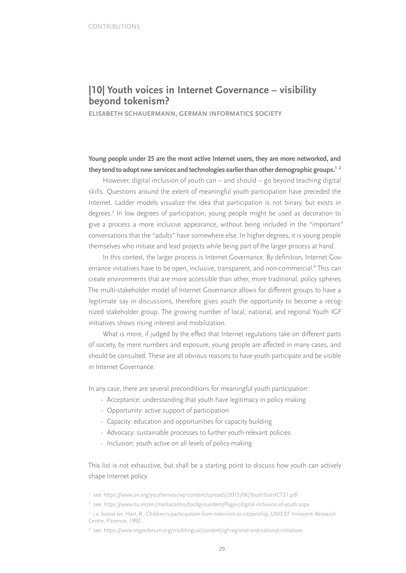# **|10| Youth voices in Internet Governance – visibility beyond tokenism?**

**ELISABETH SCHAUERMANN, GERMAN INFORMATICS SOCIETY**

### **Young people under 25 are the most active Internet users, they are more networked, and they tend to adopt new services and technologies earlier than other demographic groups.1 <sup>2</sup>**

However, digital inclusion of youth can – and should – go beyond teaching digital skills. Questions around the extent of meaningful youth participation have preceded the Internet. Ladder models visualize the idea that participation is not binary, but exists in degrees.3 In low degrees of participation, young people might be used as decoration to give a process a more inclusive appearance, without being included in the "important" conversations that the "adults" have somewhere else. In higher degrees, it is young people themselves who initiate and lead projects while being part of the larger process at hand.

In this context, the larger process is Internet Governance. By definition, Internet Governance initiatives have to be open, inclusive, transparent, and non-commercial.<sup>4</sup> This can create environments that are more accessible than other, more traditional, policy spheres. The multi-stakeholder model of Internet Governance allows for different groups to have a legitimate say in discussions, therefore gives youth the opportunity to become a recognized stakeholder group. The growing number of local, national, and regional Youth IGF initiatives shows rising interest and mobilization.

What is more, if judged by the effect that Internet regulations take on different parts of society, by mere numbers and exposure, young people are affected in many cases, and should be consulted. These are all obvious reasons to have youth participate and be visible in Internet Governance.

In any case, there are several preconditions for meaningful youth participation:

- Acceptance: understanding that youth have legitimacy in policy making
- Opportunity: active support of participation
- Capacity: education and opportunities for capacity building
- Advocacy: sustainable processes to further youth-relevant policies
- Inclusion: youth active on all levels of policy-making

This list is not exhaustive, but shall be a starting point to discuss how youth can actively shape Internet policy.

<sup>1</sup> see:<https://www.un.org/youthenvoy/wp-content/uploads/2015/06/YouthStatsICT21.pdf>

<sup>2</sup> see:<https://www.itu.int/en/mediacentre/backgrounders/Pages/digital-inclusion-of-youth.aspx>

<sup>&</sup>lt;sup>3</sup> i.e. based on: Hart, R., Children's participation from tokenism to citizenship, UNICEF Innocenti Research Centre, Florence, 1992

<sup>4</sup> see:<https://www.intgovforum.org/multilingual/content/igf-regional-and-national-initiatives>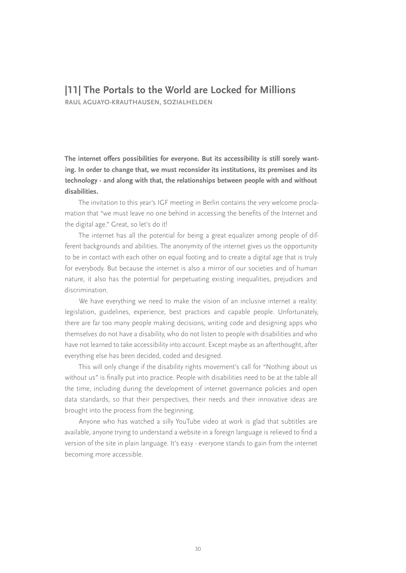## **|11| The Portals to the World are Locked for Millions**

**RAUL AGUAYO-KRAUTHAUSEN, SOZIALHELDEN**

**The internet offers possibilities for everyone. But its accessibility is still sorely wanting. In order to change that, we must reconsider its institutions, its premises and its technology - and along with that, the relationships between people with and without disabilities.** 

The invitation to this year's IGF meeting in Berlin contains the very welcome proclamation that "we must leave no one behind in accessing the benefits of the Internet and the digital age." Great, so let's do it!

The internet has all the potential for being a great equalizer among people of different backgrounds and abilities. The anonymity of the internet gives us the opportunity to be in contact with each other on equal footing and to create a digital age that is truly for everybody. But because the internet is also a mirror of our societies and of human nature, it also has the potential for perpetuating existing inequalities, prejudices and discrimination.

We have everything we need to make the vision of an inclusive internet a reality: legislation, guidelines, experience, best practices and capable people. Unfortunately, there are far too many people making decisions, writing code and designing apps who themselves do not have a disability, who do not listen to people with disabilities and who have not learned to take accessibility into account. Except maybe as an afterthought, after everything else has been decided, coded and designed.

This will only change if the disability rights movement's call for "Nothing about us without us" is finally put into practice. People with disabilities need to be at the table all the time, including during the development of internet governance policies and open data standards, so that their perspectives, their needs and their innovative ideas are brought into the process from the beginning.

Anyone who has watched a silly YouTube video at work is glad that subtitles are available, anyone trying to understand a website in a foreign language is relieved to find a version of the site in plain language. It's easy - everyone stands to gain from the internet becoming more accessible.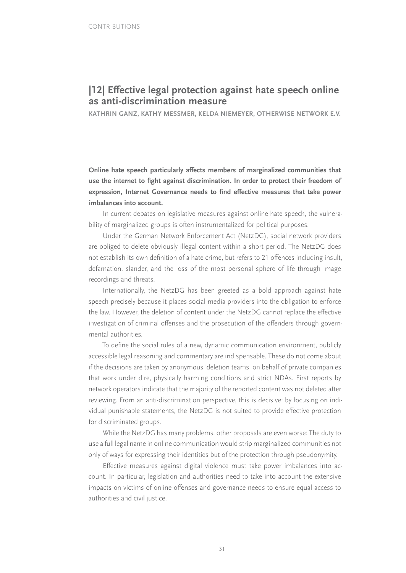# **|12| Effective legal protection against hate speech online as anti-discrimination measure**

**KATHRIN GANZ, KATHY MESSMER, KELDA NIEMEYER, OTHERWISE NETWORK E.V.**

**Online hate speech particularly affects members of marginalized communities that use the internet to fight against discrimination. In order to protect their freedom of expression, Internet Governance needs to find effective measures that take power imbalances into account.**

In current debates on legislative measures against online hate speech, the vulnerability of marginalized groups is often instrumentalized for political purposes.

Under the German Network Enforcement Act (NetzDG), social network providers are obliged to delete obviously illegal content within a short period. The NetzDG does not establish its own definition of a hate crime, but refers to 21 offences including insult, defamation, slander, and the loss of the most personal sphere of life through image recordings and threats.

Internationally, the NetzDG has been greeted as a bold approach against hate speech precisely because it places social media providers into the obligation to enforce the law. However, the deletion of content under the NetzDG cannot replace the effective investigation of criminal offenses and the prosecution of the offenders through governmental authorities.

To define the social rules of a new, dynamic communication environment, publicly accessible legal reasoning and commentary are indispensable. These do not come about if the decisions are taken by anonymous 'deletion teams' on behalf of private companies that work under dire, physically harming conditions and strict NDAs. First reports by network operators indicate that the majority of the reported content was not deleted after reviewing. From an anti-discrimination perspective, this is decisive: by focusing on individual punishable statements, the NetzDG is not suited to provide effective protection for discriminated groups.

While the NetzDG has many problems, other proposals are even worse: The duty to use a full legal name in online communication would strip marginalized communities not only of ways for expressing their identities but of the protection through pseudonymity.

Effective measures against digital violence must take power imbalances into account. In particular, legislation and authorities need to take into account the extensive impacts on victims of online offenses and governance needs to ensure equal access to authorities and civil justice.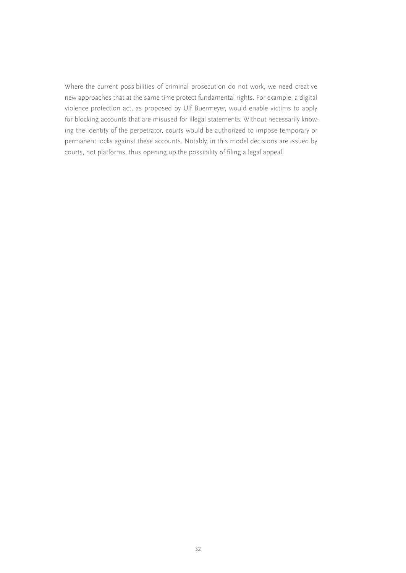Where the current possibilities of criminal prosecution do not work, we need creative new approaches that at the same time protect fundamental rights. For example, a digital violence protection act, as proposed by Ulf Buermeyer, would enable victims to apply for blocking accounts that are misused for illegal statements. Without necessarily knowing the identity of the perpetrator, courts would be authorized to impose temporary or permanent locks against these accounts. Notably, in this model decisions are issued by courts, not platforms, thus opening up the possibility of filing a legal appeal.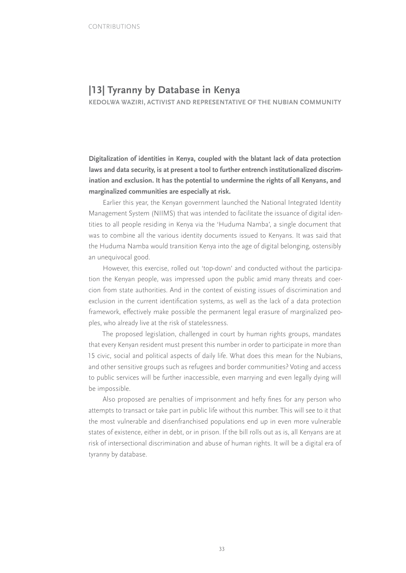# **|13| Tyranny by Database in Kenya**

**KEDOLWA WAZIRI, ACTIVIST AND REPRESENTATIVE OF THE NUBIAN COMMUNITY**

**Digitalization of identities in Kenya, coupled with the blatant lack of data protection laws and data security, is at present a tool to further entrench institutionalized discrimination and exclusion. It has the potential to undermine the rights of all Kenyans, and marginalized communities are especially at risk.**

Earlier this year, the Kenyan government launched the National Integrated Identity Management System (NIIMS) that was intended to facilitate the issuance of digital identities to all people residing in Kenya via the 'Huduma Namba', a single document that was to combine all the various identity documents issued to Kenyans. It was said that the Huduma Namba would transition Kenya into the age of digital belonging, ostensibly an unequivocal good.

However, this exercise, rolled out 'top-down' and conducted without the participation the Kenyan people, was impressed upon the public amid many threats and coercion from state authorities. And in the context of existing issues of discrimination and exclusion in the current identification systems, as well as the lack of a data protection framework, effectively make possible the permanent legal erasure of marginalized peoples, who already live at the risk of statelessness.

The proposed legislation, challenged in court by human rights groups, mandates that every Kenyan resident must present this number in order to participate in more than 15 civic, social and political aspects of daily life. What does this mean for the Nubians, and other sensitive groups such as refugees and border communities? Voting and access to public services will be further inaccessible, even marrying and even legally dying will be impossible.

Also proposed are penalties of imprisonment and hefty fines for any person who attempts to transact or take part in public life without this number. This will see to it that the most vulnerable and disenfranchised populations end up in even more vulnerable states of existence, either in debt, or in prison. If the bill rolls out as is, all Kenyans are at risk of intersectional discrimination and abuse of human rights. It will be a digital era of tyranny by database.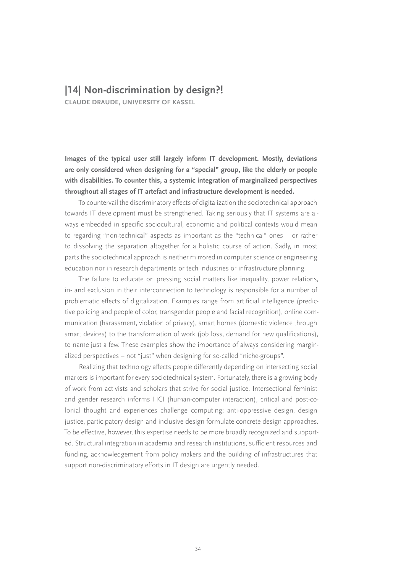### **|14| Non-discrimination by design?!**

**CLAUDE DRAUDE, UNIVERSITY OF KASSEL**

**Images of the typical user still largely inform IT development. Mostly, deviations are only considered when designing for a "special" group, like the elderly or people with disabilities. To counter this, a systemic integration of marginalized perspectives throughout all stages of IT artefact and infrastructure development is needed.**

To countervail the discriminatory effects of digitalization the sociotechnical approach towards IT development must be strengthened. Taking seriously that IT systems are always embedded in specific sociocultural, economic and political contexts would mean to regarding "non-technical" aspects as important as the "technical" ones – or rather to dissolving the separation altogether for a holistic course of action. Sadly, in most parts the sociotechnical approach is neither mirrored in computer science or engineering education nor in research departments or tech industries or infrastructure planning.

The failure to educate on pressing social matters like inequality, power relations, in- and exclusion in their interconnection to technology is responsible for a number of problematic effects of digitalization. Examples range from artificial intelligence (predictive policing and people of color, transgender people and facial recognition), online communication (harassment, violation of privacy), smart homes (domestic violence through smart devices) to the transformation of work (job loss, demand for new qualifications), to name just a few. These examples show the importance of always considering marginalized perspectives – not "just" when designing for so-called "niche-groups".

Realizing that technology affects people differently depending on intersecting social markers is important for every sociotechnical system. Fortunately, there is a growing body of work from activists and scholars that strive for social justice. Intersectional feminist and gender research informs HCI (human-computer interaction), critical and post-colonial thought and experiences challenge computing; anti-oppressive design, design justice, participatory design and inclusive design formulate concrete design approaches. To be effective, however, this expertise needs to be more broadly recognized and supported. Structural integration in academia and research institutions, sufficient resources and funding, acknowledgement from policy makers and the building of infrastructures that support non-discriminatory efforts in IT design are urgently needed.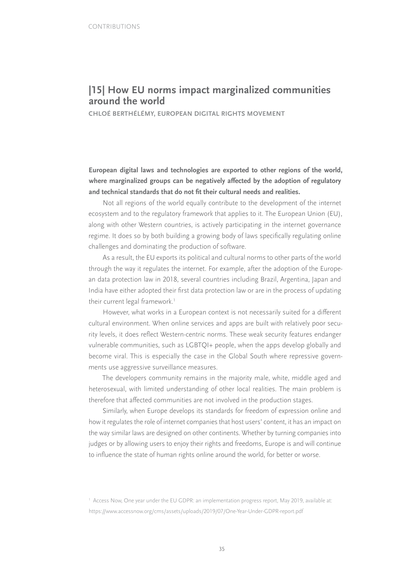# **|15| How EU norms impact marginalized communities around the world**

**CHLOÉ BERTHÉLÉMY, EUROPEAN DIGITAL RIGHTS MOVEMENT**

**European digital laws and technologies are exported to other regions of the world, where marginalized groups can be negatively affected by the adoption of regulatory and technical standards that do not fit their cultural needs and realities.**

Not all regions of the world equally contribute to the development of the internet ecosystem and to the regulatory framework that applies to it. The European Union (EU), along with other Western countries, is actively participating in the internet governance regime. It does so by both building a growing body of laws specifically regulating online challenges and dominating the production of software.

As a result, the EU exports its political and cultural norms to other parts of the world through the way it regulates the internet. For example, after the adoption of the European data protection law in 2018, several countries including Brazil, Argentina, Japan and India have either adopted their first data protection law or are in the process of updating their current legal framework.<sup>1</sup>

However, what works in a European context is not necessarily suited for a different cultural environment. When online services and apps are built with relatively poor security levels, it does reflect Western-centric norms. These weak security features endanger vulnerable communities, such as LGBTQI+ people, when the apps develop globally and become viral. This is especially the case in the Global South where repressive governments use aggressive surveillance measures.

The developers community remains in the majority male, white, middle aged and heterosexual, with limited understanding of other local realities. The main problem is therefore that affected communities are not involved in the production stages.

Similarly, when Europe develops its standards for freedom of expression online and how it regulates the role of internet companies that host users' content, it has an impact on the way similar laws are designed on other continents. Whether by turning companies into judges or by allowing users to enjoy their rights and freedoms, Europe is and will continue to influence the state of human rights online around the world, for better or worse.

<sup>1</sup> Access Now, One year under the EU GDPR: an implementation progress report, May 2019, available at: <https://www.accessnow.org/cms/assets/uploads/2019/07/One-Year-Under-GDPR-report.pdf>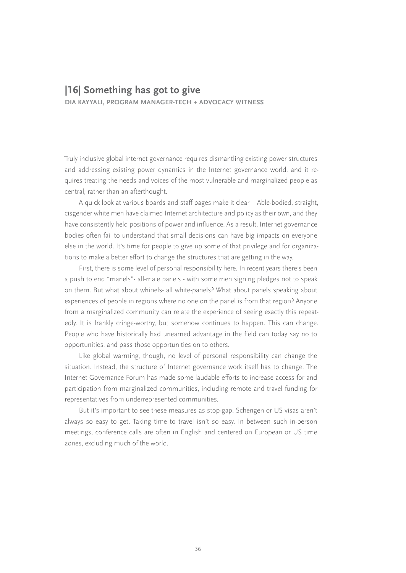### **|16| Something has got to give**

**DIA KAYYALI, PROGRAM MANAGER-TECH + ADVOCACY WITNESS**

Truly inclusive global internet governance requires dismantling existing power structures and addressing existing power dynamics in the Internet governance world, and it requires treating the needs and voices of the most vulnerable and marginalized people as central, rather than an afterthought.

A quick look at various boards and staff pages make it clear – Able-bodied, straight, cisgender white men have claimed Internet architecture and policy as their own, and they have consistently held positions of power and influence. As a result, Internet governance bodies often fail to understand that small decisions can have big impacts on everyone else in the world. It's time for people to give up some of that privilege and for organizations to make a better effort to change the structures that are getting in the way.

First, there is some level of personal responsibility here. In recent years there's been a push to end "manels"- all-male panels - with some men signing pledges not to speak on them. But what about whinels- all white-panels? What about panels speaking about experiences of people in regions where no one on the panel is from that region? Anyone from a marginalized community can relate the experience of seeing exactly this repeatedly. It is frankly cringe-worthy, but somehow continues to happen. This can change. People who have historically had unearned advantage in the field can today say no to opportunities, and pass those opportunities on to others.

Like global warming, though, no level of personal responsibility can change the situation. Instead, the structure of Internet governance work itself has to change. The Internet Governance Forum has made some laudable efforts to increase access for and participation from marginalized communities, including remote and travel funding for representatives from underrepresented communities.

But it's important to see these measures as stop-gap. Schengen or US visas aren't always so easy to get. Taking time to travel isn't so easy. In between such in-person meetings, conference calls are often in English and centered on European or US time zones, excluding much of the world.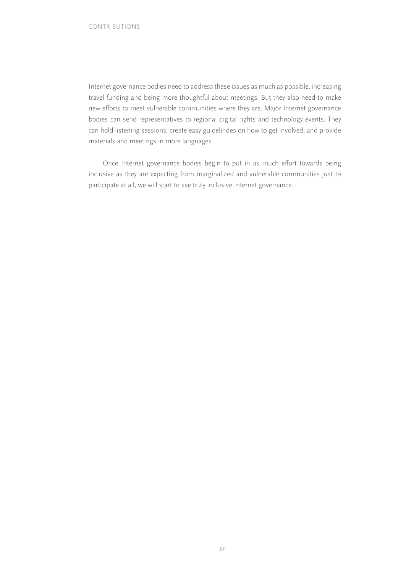Internet governance bodies need to address these issues as much as possible, increasing travel funding and being more thoughtful about meetings. But they also need to make new efforts to meet vulnerable communities where they are. Major Internet governance bodies can send representatives to regional digital rights and technology events. They can hold listening sessions, create easy guidelindes on how to get involved, and provide materials and meetings in more languages.

Once Internet governance bodies begin to put in as much effort towards being inclusive as they are expecting from marginalized and vulnerable communities just to participate at all, we will start to see truly inclusive Internet governance.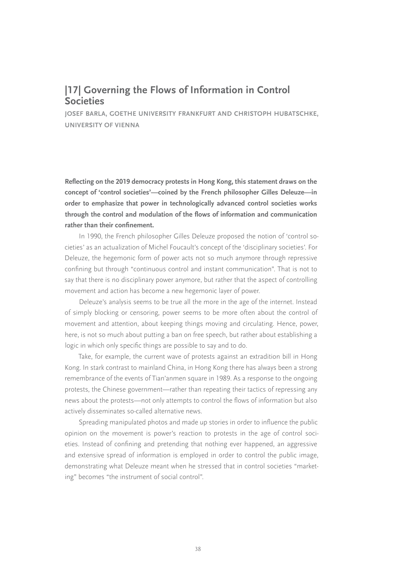# **|17| Governing the Flows of Information in Control Societies**

**JOSEF BARLA, GOETHE UNIVERSITY FRANKFURT AND CHRISTOPH HUBATSCHKE, UNIVERSITY OF VIENNA**

**Reflecting on the 2019 democracy protests in Hong Kong, this statement draws on the concept of 'control societies'—coined by the French philosopher Gilles Deleuze—in order to emphasize that power in technologically advanced control societies works through the control and modulation of the flows of information and communication rather than their confinement.**

In 1990, the French philosopher Gilles Deleuze proposed the notion of 'control societies' as an actualization of Michel Foucault's concept of the 'disciplinary societies'. For Deleuze, the hegemonic form of power acts not so much anymore through repressive confining but through "continuous control and instant communication". That is not to say that there is no disciplinary power anymore, but rather that the aspect of controlling movement and action has become a new hegemonic layer of power.

Deleuze's analysis seems to be true all the more in the age of the internet. Instead of simply blocking or censoring, power seems to be more often about the control of movement and attention, about keeping things moving and circulating. Hence, power, here, is not so much about putting a ban on free speech, but rather about establishing a logic in which only specific things are possible to say and to do.

Take, for example, the current wave of protests against an extradition bill in Hong Kong. In stark contrast to mainland China, in Hong Kong there has always been a strong remembrance of the events of Tian'anmen square in 1989. As a response to the ongoing protests, the Chinese government—rather than repeating their tactics of repressing any news about the protests—not only attempts to control the flows of information but also actively disseminates so-called alternative news.

Spreading manipulated photos and made up stories in order to influence the public opinion on the movement is power's reaction to protests in the age of control societies. Instead of confining and pretending that nothing ever happened, an aggressive and extensive spread of information is employed in order to control the public image, demonstrating what Deleuze meant when he stressed that in control societies "marketing" becomes "the instrument of social control".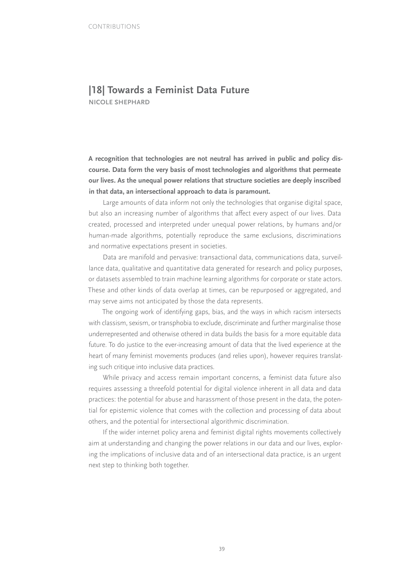# **|18| Towards a Feminist Data Future**

**NICOLE SHEPHARD**

**A recognition that technologies are not neutral has arrived in public and policy discourse. Data form the very basis of most technologies and algorithms that permeate our lives. As the unequal power relations that structure societies are deeply inscribed in that data, an intersectional approach to data is paramount.**

Large amounts of data inform not only the technologies that organise digital space, but also an increasing number of algorithms that affect every aspect of our lives. Data created, processed and interpreted under unequal power relations, by humans and/or human-made algorithms, potentially reproduce the same exclusions, discriminations and normative expectations present in societies.

Data are manifold and pervasive: transactional data, communications data, surveillance data, qualitative and quantitative data generated for research and policy purposes, or datasets assembled to train machine learning algorithms for corporate or state actors. These and other kinds of data overlap at times, can be repurposed or aggregated, and may serve aims not anticipated by those the data represents.

The ongoing work of identifying gaps, bias, and the ways in which racism intersects with classism, sexism, or transphobia to exclude, discriminate and further marginalise those underrepresented and otherwise othered in data builds the basis for a more equitable data future. To do justice to the ever-increasing amount of data that the lived experience at the heart of many feminist movements produces (and relies upon), however requires translating such critique into inclusive data practices.

While privacy and access remain important concerns, a feminist data future also requires assessing a threefold potential for digital violence inherent in all data and data practices: the potential for abuse and harassment of those present in the data, the potential for epistemic violence that comes with the collection and processing of data about others, and the potential for intersectional algorithmic discrimination.

If the wider internet policy arena and feminist digital rights movements collectively aim at understanding and changing the power relations in our data and our lives, exploring the implications of inclusive data and of an intersectional data practice, is an urgent next step to thinking both together.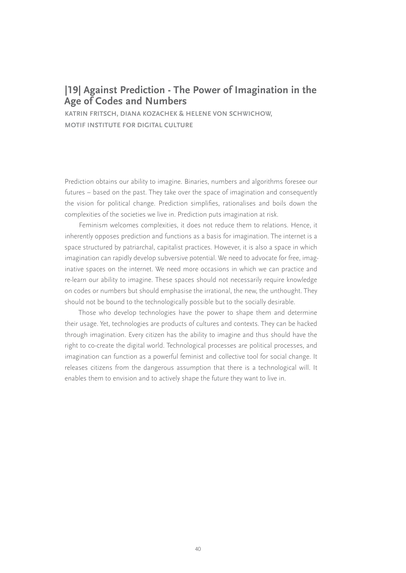# **|19| Against Prediction - The Power of Imagination in the Age of Codes and Numbers**

**KATRIN FRITSCH, DIANA KOZACHEK & HELENE VON SCHWICHOW, MOTIF INSTITUTE FOR DIGITAL CULTURE**

Prediction obtains our ability to imagine. Binaries, numbers and algorithms foresee our futures – based on the past. They take over the space of imagination and consequently the vision for political change. Prediction simplifies, rationalises and boils down the complexities of the societies we live in. Prediction puts imagination at risk.

Feminism welcomes complexities, it does not reduce them to relations. Hence, it inherently opposes prediction and functions as a basis for imagination. The internet is a space structured by patriarchal, capitalist practices. However, it is also a space in which imagination can rapidly develop subversive potential. We need to advocate for free, imaginative spaces on the internet. We need more occasions in which we can practice and re-learn our ability to imagine. These spaces should not necessarily require knowledge on codes or numbers but should emphasise the irrational, the new, the unthought. They should not be bound to the technologically possible but to the socially desirable.

Those who develop technologies have the power to shape them and determine their usage. Yet, technologies are products of cultures and contexts. They can be hacked through imagination. Every citizen has the ability to imagine and thus should have the right to co-create the digital world. Technological processes are political processes, and imagination can function as a powerful feminist and collective tool for social change. It releases citizens from the dangerous assumption that there is a technological will. It enables them to envision and to actively shape the future they want to live in.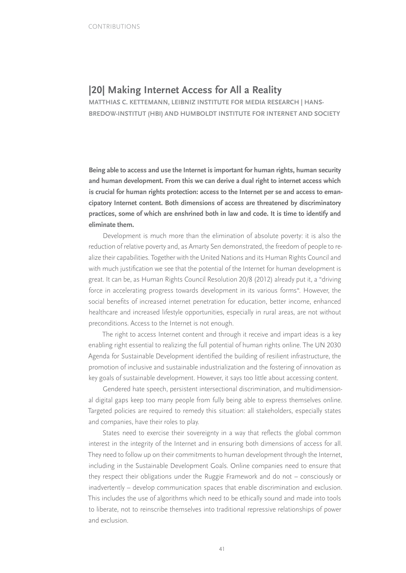# **|20| Making Internet Access for All a Reality**

**MATTHIAS C. KETTEMANN, LEIBNIZ INSTITUTE FOR MEDIA RESEARCH | HANS-BREDOW-INSTITUT (HBI) AND HUMBOLDT INSTITUTE FOR INTERNET AND SOCIETY**

**Being able to access and use the Internet is important for human rights, human security and human development. From this we can derive a dual right to internet access which is crucial for human rights protection: access to the Internet per se and access to emancipatory Internet content. Both dimensions of access are threatened by discriminatory practices, some of which are enshrined both in law and code. It is time to identify and eliminate them.**

Development is much more than the elimination of absolute poverty: it is also the reduction of relative poverty and, as Amarty Sen demonstrated, the freedom of people to realize their capabilities. Together with the United Nations and its Human Rights Council and with much justification we see that the potential of the Internet for human development is great. It can be, as Human Rights Council Resolution 20/8 (2012) already put it, a "driving force in accelerating progress towards development in its various forms". However, the social benefits of increased internet penetration for education, better income, enhanced healthcare and increased lifestyle opportunities, especially in rural areas, are not without preconditions. Access to the Internet is not enough.

The right to access Internet content and through it receive and impart ideas is a key enabling right essential to realizing the full potential of human rights online. The UN 2030 Agenda for Sustainable Development identified the building of resilient infrastructure, the promotion of inclusive and sustainable industrialization and the fostering of innovation as key goals of sustainable development. However, it says too little about accessing content.

Gendered hate speech, persistent intersectional discrimination, and multidimensional digital gaps keep too many people from fully being able to express themselves online. Targeted policies are required to remedy this situation: all stakeholders, especially states and companies, have their roles to play.

States need to exercise their sovereignty in a way that reflects the global common interest in the integrity of the Internet and in ensuring both dimensions of access for all. They need to follow up on their commitments to human development through the Internet, including in the Sustainable Development Goals. Online companies need to ensure that they respect their obligations under the Ruggie Framework and do not – consciously or inadvertently – develop communication spaces that enable discrimination and exclusion. This includes the use of algorithms which need to be ethically sound and made into tools to liberate, not to reinscribe themselves into traditional repressive relationships of power and exclusion.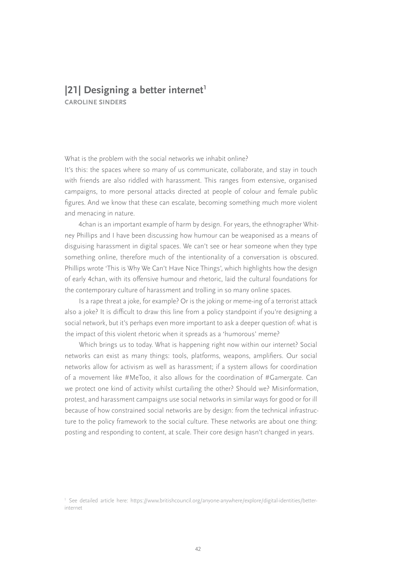### **|21| Designing a better internet CAROLINE SINDERS**

What is the problem with the social networks we inhabit online?

It's this: the spaces where so many of us communicate, collaborate, and stay in touch with friends are also riddled with harassment. This ranges from extensive, organised campaigns, to more personal attacks directed at people of colour and female public figures. And we know that these can escalate, becoming something much more violent and menacing in nature.

4chan is an important example of harm by design. For years, the ethnographer Whitney Phillips and I have been discussing how humour can be weaponised as a means of disguising harassment in digital spaces. We can't see or hear someone when they type something online, therefore much of the intentionality of a conversation is obscured. Phillips wrote 'This is Why We Can't Have Nice Things', which highlights how the design of early 4chan, with its offensive humour and rhetoric, laid the cultural foundations for the contemporary culture of harassment and trolling in so many online spaces.

Is a rape threat a joke, for example? Or is the joking or meme-ing of a terrorist attack also a joke? It is difficult to draw this line from a policy standpoint if you're designing a social network, but it's perhaps even more important to ask a deeper question of: what is the impact of this violent rhetoric when it spreads as a 'humorous' meme?

Which brings us to today. What is happening right now within our internet? Social networks can exist as many things: tools, platforms, weapons, amplifiers. Our social networks allow for activism as well as harassment; if a system allows for coordination of a movement like #MeToo, it also allows for the coordination of #Gamergate. Can we protect one kind of activity whilst curtailing the other? Should we? Misinformation, protest, and harassment campaigns use social networks in similar ways for good or for ill because of how constrained social networks are by design: from the technical infrastructure to the policy framework to the social culture. These networks are about one thing: posting and responding to content, at scale. Their core design hasn't changed in years.

<sup>1</sup> See detailed article here: [https://www.britishcouncil.org/anyone-anywhere/explore/digital-identities/better](https://www.britishcouncil.org/anyone-anywhere/explore/digital-identities/better-internet)[internet](https://www.britishcouncil.org/anyone-anywhere/explore/digital-identities/better-internet)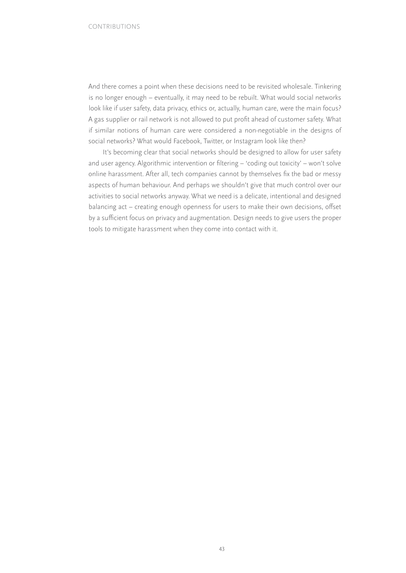And there comes a point when these decisions need to be revisited wholesale. Tinkering is no longer enough – eventually, it may need to be rebuilt. What would social networks look like if user safety, data privacy, ethics or, actually, human care, were the main focus? A gas supplier or rail network is not allowed to put profit ahead of customer safety. What if similar notions of human care were considered a non-negotiable in the designs of social networks? What would Facebook, Twitter, or Instagram look like then?

It's becoming clear that social networks should be designed to allow for user safety and user agency. Algorithmic intervention or filtering – 'coding out toxicity' – won't solve online harassment. After all, tech companies cannot by themselves fix the bad or messy aspects of human behaviour. And perhaps we shouldn't give that much control over our activities to social networks anyway. What we need is a delicate, intentional and designed balancing act – creating enough openness for users to make their own decisions, offset by a sufficient focus on privacy and augmentation. Design needs to give users the proper tools to mitigate harassment when they come into contact with it.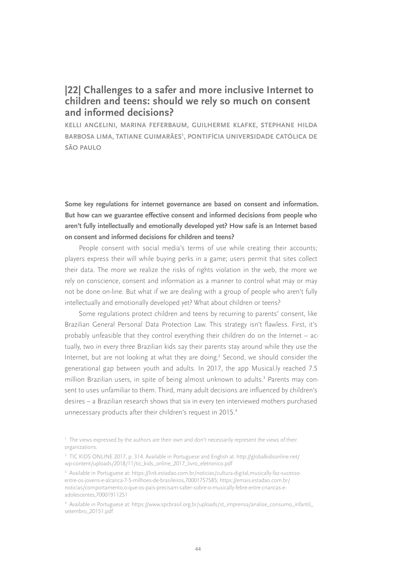## **|22| Challenges to a safer and more inclusive Internet to children and teens: should we rely so much on consent and informed decisions?**

**KELLI ANGELINI, MARINA FEFERBAUM, GUILHERME KLAFKE, STEPHANE HILDA**  BARBOSA LIMA, TATIANE GUIMARAES<sup>1</sup>, PONTIFICIA UNIVERSIDADE CATÓLICA DE **SÃO PAULO**

**Some key regulations for internet governance are based on consent and information. But how can we guarantee effective consent and informed decisions from people who aren't fully intellectually and emotionally developed yet? How safe is an Internet based on consent and informed decisions for children and teens?**

People consent with social media's terms of use while creating their accounts; players express their will while buying perks in a game; users permit that sites collect their data. The more we realize the risks of rights violation in the web, the more we rely on conscience, consent and information as a manner to control what may or may not be done on-line. But what if we are dealing with a group of people who aren't fully intellectually and emotionally developed yet? What about children or teens?

Some regulations protect children and teens by recurring to parents' consent, like Brazilian General Personal Data Protection Law. This strategy isn't flawless. First, it's probably unfeasible that they control everything their children do on the Internet – actually, two in every three Brazilian kids say their parents stay around while they use the Internet, but are not looking at what they are doing.<sup>2</sup> Second, we should consider the generational gap between youth and adults. In 2017, the app Musical.ly reached 7.5 million Brazilian users, in spite of being almost unknown to adults.<sup>3</sup> Parents may consent to uses unfamiliar to them. Third, many adult decisions are influenced by children's desires – a Brazilian research shows that six in every ten interviewed mothers purchased unnecessary products after their children's request in 2015.4

<sup>&</sup>lt;sup>1</sup> The views expressed by the authors are their own and don't necessarily represent the views of their organizations.

<sup>2</sup> TIC KIDS ONLINE 2017, p. 314. Available in Portuguese and English at: [http://globalkidsonline.net/](http://globalkidsonline.net/wp-content/uploads/2018/11/tic_kids_online_2017_livro_eletronico.pdf) [wp-content/uploads/2018/11/tic\\_kids\\_online\\_2017\\_livro\\_eletronico.pdf](http://globalkidsonline.net/wp-content/uploads/2018/11/tic_kids_online_2017_livro_eletronico.pdf) 

<sup>&</sup>lt;sup>3</sup> Available in Portuguese at: [https://link.estadao.com.br/noticias/cultura-digital,musically-faz-sucesso](https://link.estadao.com.br/noticias/cultura-digital,musically-faz-sucesso-entre-os-jovens-e-alcanca-7-5-milhoes-de-brasileiros,70001757585)[entre-os-jovens-e-alcanca-7-5-milhoes-de-brasileiros,70001757585;](https://link.estadao.com.br/noticias/cultura-digital,musically-faz-sucesso-entre-os-jovens-e-alcanca-7-5-milhoes-de-brasileiros,70001757585) [https://emais.estadao.com.br/](https://emais.estadao.com.br/noticias/comportamento,o-que-os-pais-precisam-saber-sobre-o-musically-febre-entre-criancas-e-adolescentes,70001911251) [noticias/comportamento,o-que-os-pais-precisam-saber-sobre-o-musically-febre-entre-criancas-e](https://emais.estadao.com.br/noticias/comportamento,o-que-os-pais-precisam-saber-sobre-o-musically-febre-entre-criancas-e-adolescentes,70001911251)[adolescentes,70001911251](https://emais.estadao.com.br/noticias/comportamento,o-que-os-pais-precisam-saber-sobre-o-musically-febre-entre-criancas-e-adolescentes,70001911251)

<sup>4</sup> Available in Portuguese at: [https://www.spcbrasil.org.br/uploads/st\\_imprensa/analise\\_consumo\\_infantil\\_](https://www.spcbrasil.org.br/uploads/st_imprensa/analise_consumo_infantil_setembro_20151.pdf) [setembro\\_20151.pdf](https://www.spcbrasil.org.br/uploads/st_imprensa/analise_consumo_infantil_setembro_20151.pdf)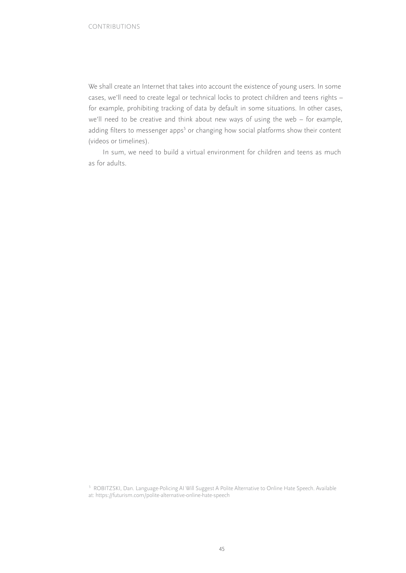We shall create an Internet that takes into account the existence of young users. In some cases, we'll need to create legal or technical locks to protect children and teens rights – for example, prohibiting tracking of data by default in some situations. In other cases, we'll need to be creative and think about new ways of using the web – for example, adding filters to messenger apps<sup>5</sup> or changing how social platforms show their content (videos or timelines).

In sum, we need to build a virtual environment for children and teens as much as for adults.

<sup>5</sup> ROBITZSKI, Dan. Language-Policing AI Will Suggest A Polite Alternative to Online Hate Speech. Available at: <https://futurism.com/polite-alternative-online-hate-speech>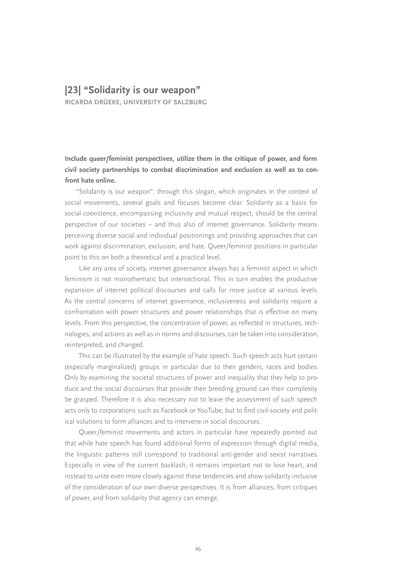### **|23| "Solidarity is our weapon"**

**RICARDA DRÜEKE, UNIVERSITY OF SALZBURG**

**Include queer/feminist perspectives, utilize them in the critique of power, and form civil society partnerships to combat discrimination and exclusion as well as to confront hate online.**

"Solidarity is our weapon": through this slogan, which originates in the context of social movements, several goals and focuses become clear. Solidarity as a basis for social coexistence, encompassing inclusivity and mutual respect, should be the central perspective of our societies – and thus also of internet governance. Solidarity means perceiving diverse social and individual positionings and providing approaches that can work against discrimination, exclusion, and hate. Queer/feminist positions in particular point to this on both a theoretical and a practical level.

Like any area of society, internet governance always has a feminist aspect in which feminism is not monothematic but intersectional. This in turn enables the productive expansion of internet political discourses and calls for more justice at various levels. As the central concerns of internet governance, inclusiveness and solidarity require a confrontation with power structures and power relationships that is effective on many levels. From this perspective, the concentration of power, as reflected in structures, technologies, and actions as well as in norms and discourses, can be taken into consideration, reinterpreted, and changed.

This can be illustrated by the example of hate speech. Such speech acts hurt certain (especially marginalized) groups in particular due to their genders, races and bodies. Only by examining the societal structures of power and inequality that they help to produce and the social discourses that provide their breeding ground can their complexity be grasped. Therefore it is also necessary not to leave the assessment of such speech acts only to corporations such as Facebook or YouTube, but to find civil-society and political solutions to form alliances and to intervene in social discourses.

Queer/feminist movements and actors in particular have repeatedly pointed out that while hate speech has found additional forms of expression through digital media, the linguistic patterns still correspond to traditional anti-gender and sexist narratives. Especially in view of the current backlash, it remains important not to lose heart, and instead to unite even more closely against these tendencies and show solidarity inclusive of the consideration of our own diverse perspectives. It is from alliances, from critiques of power, and from solidarity that agency can emerge.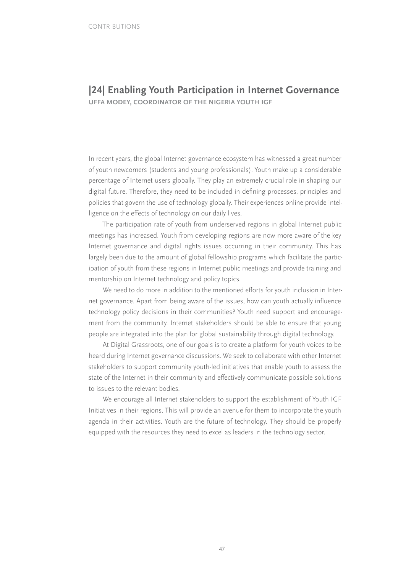### **|24| Enabling Youth Participation in Internet Governance UFFA MODEY, COORDINATOR OF THE NIGERIA YOUTH IGF**

In recent years, the global Internet governance ecosystem has witnessed a great number of youth newcomers (students and young professionals). Youth make up a considerable percentage of Internet users globally. They play an extremely crucial role in shaping our digital future. Therefore, they need to be included in defining processes, principles and policies that govern the use of technology globally. Their experiences online provide intelligence on the effects of technology on our daily lives.

The participation rate of youth from underserved regions in global Internet public meetings has increased. Youth from developing regions are now more aware of the key Internet governance and digital rights issues occurring in their community. This has largely been due to the amount of global fellowship programs which facilitate the participation of youth from these regions in Internet public meetings and provide training and mentorship on Internet technology and policy topics.

We need to do more in addition to the mentioned efforts for youth inclusion in Internet governance. Apart from being aware of the issues, how can youth actually influence technology policy decisions in their communities? Youth need support and encouragement from the community. Internet stakeholders should be able to ensure that young people are integrated into the plan for global sustainability through digital technology.

At Digital Grassroots, one of our goals is to create a platform for youth voices to be heard during Internet governance discussions. We seek to collaborate with other Internet stakeholders to support community youth-led initiatives that enable youth to assess the state of the Internet in their community and effectively communicate possible solutions to issues to the relevant bodies.

We encourage all Internet stakeholders to support the establishment of Youth IGF Initiatives in their regions. This will provide an avenue for them to incorporate the youth agenda in their activities. Youth are the future of technology. They should be properly equipped with the resources they need to excel as leaders in the technology sector.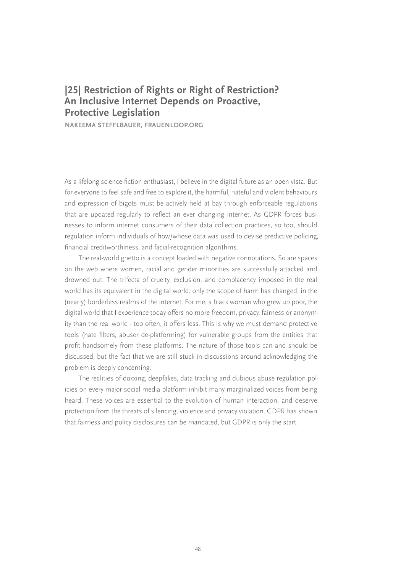# **|25| Restriction of Rights or Right of Restriction? An Inclusive Internet Depends on Proactive, Protective Legislation**

**NAKEEMA STEFFLBAUER, FRAUENLOOP.ORG**

As a lifelong science-fiction enthusiast, I believe in the digital future as an open vista. But for everyone to feel safe and free to explore it, the harmful, hateful and violent behaviours and expression of bigots must be actively held at bay through enforceable regulations that are updated regularly to reflect an ever changing internet. As GDPR forces businesses to inform internet consumers of their data collection practices, so too, should regulation inform individuals of how/whose data was used to devise predictive policing, financial creditworthiness, and facial-recognition algorithms.

The real-world ghetto is a concept loaded with negative connotations. So are spaces on the web where women, racial and gender minorities are successfully attacked and drowned out. The trifecta of cruelty, exclusion, and complacency imposed in the real world has its equivalent in the digital world: only the scope of harm has changed, in the (nearly) borderless realms of the internet. For me, a black woman who grew up poor, the digital world that I experience today offers no more freedom, privacy, fairness or anonymity than the real world - too often, it offers less. This is why we must demand protective tools (hate filters, abuser de-platforming) for vulnerable groups from the entities that profit handsomely from these platforms. The nature of those tools can and should be discussed, but the fact that we are still stuck in discussions around acknowledging the problem is deeply concerning.

The realities of doxxing, deepfakes, data tracking and dubious abuse regulation policies on every major social media platform inhibit many marginalized voices from being heard. These voices are essential to the evolution of human interaction, and deserve protection from the threats of silencing, violence and privacy violation. GDPR has shown that fairness and policy disclosures can be mandated, but GDPR is only the start.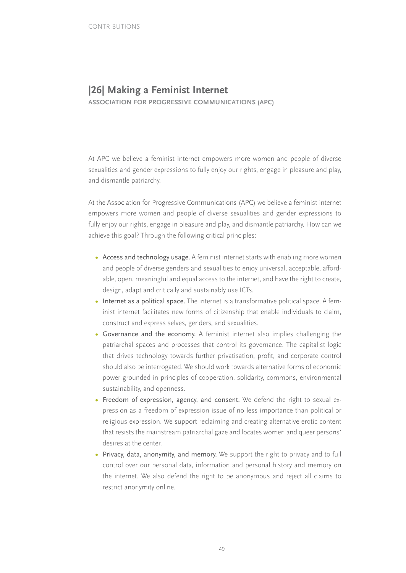## **|26| Making a Feminist Internet**

**ASSOCIATION FOR PROGRESSIVE COMMUNICATIONS (APC)**

At APC we believe a feminist internet empowers more women and people of diverse sexualities and gender expressions to fully enjoy our rights, engage in pleasure and play, and dismantle patriarchy.

At the Association for Progressive Communications (APC) we believe a feminist internet empowers more women and people of diverse sexualities and gender expressions to fully enjoy our rights, engage in pleasure and play, and dismantle patriarchy. How can we achieve this goal? Through the following critical principles:

- **•** Access and technology usage. A feminist internet starts with enabling more women and people of diverse genders and sexualities to enjoy universal, acceptable, affordable, open, meaningful and equal access to the internet, and have the right to create, design, adapt and critically and sustainably use ICTs.
- Internet as a political space. The internet is a transformative political space. A feminist internet facilitates new forms of citizenship that enable individuals to claim, construct and express selves, genders, and sexualities.
- **•** Governance and the economy. A feminist internet also implies challenging the patriarchal spaces and processes that control its governance. The capitalist logic that drives technology towards further privatisation, profit, and corporate control should also be interrogated. We should work towards alternative forms of economic power grounded in principles of cooperation, solidarity, commons, environmental sustainability, and openness.
- **•** Freedom of expression, agency, and consent. We defend the right to sexual expression as a freedom of expression issue of no less importance than political or religious expression. We support reclaiming and creating alternative erotic content that resists the mainstream patriarchal gaze and locates women and queer persons' desires at the center.
- **•** Privacy, data, anonymity, and memory. We support the right to privacy and to full control over our personal data, information and personal history and memory on the internet. We also defend the right to be anonymous and reject all claims to restrict anonymity online.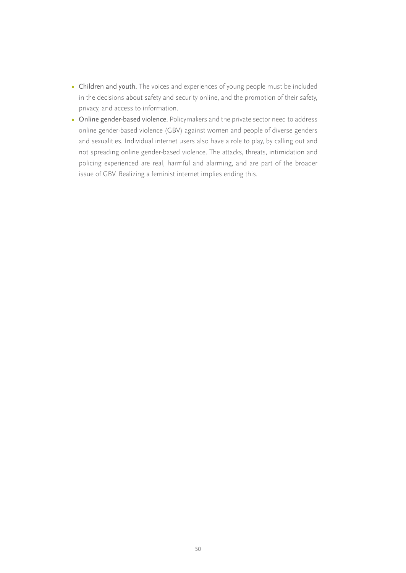- **•** Children and youth. The voices and experiences of young people must be included in the decisions about safety and security online, and the promotion of their safety, privacy, and access to information.
- **•** Online gender-based violence. Policymakers and the private sector need to address online gender-based violence (GBV) against women and people of diverse genders and sexualities. Individual internet users also have a role to play, by calling out and not spreading online gender-based violence. The attacks, threats, intimidation and policing experienced are real, harmful and alarming, and are part of the broader issue of GBV. Realizing a feminist internet implies ending this.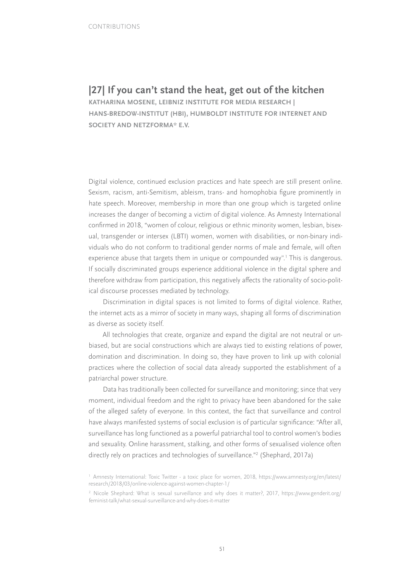**|27| If you can't stand the heat, get out of the kitchen KATHARINA MOSENE, LEIBNIZ INSTITUTE FOR MEDIA RESEARCH | HANS-BREDOW-INSTITUT (HBI), HUMBOLDT INSTITUTE FOR INTERNET AND SOCIETY AND NETZFORMA\* E.V.**

Digital violence, continued exclusion practices and hate speech are still present online. Sexism, racism, anti-Semitism, ableism, trans- and homophobia figure prominently in hate speech. Moreover, membership in more than one group which is targeted online increases the danger of becoming a victim of digital violence. As Amnesty International confirmed in 2018, "women of colour, religious or ethnic minority women, lesbian, bisexual, transgender or intersex (LBTI) women, women with disabilities, or non-binary individuals who do not conform to traditional gender norms of male and female, will often experience abuse that targets them in unique or compounded way".1 This is dangerous. If socially discriminated groups experience additional violence in the digital sphere and therefore withdraw from participation, this negatively affects the rationality of socio-political discourse processes mediated by technology.

Discrimination in digital spaces is not limited to forms of digital violence. Rather, the internet acts as a mirror of society in many ways, shaping all forms of discrimination as diverse as society itself.

All technologies that create, organize and expand the digital are not neutral or unbiased, but are social constructions which are always tied to existing relations of power, domination and discrimination. In doing so, they have proven to link up with colonial practices where the collection of social data already supported the establishment of a patriarchal power structure.

Data has traditionally been collected for surveillance and monitoring; since that very moment, individual freedom and the right to privacy have been abandoned for the sake of the alleged safety of everyone. In this context, the fact that surveillance and control have always manifested systems of social exclusion is of particular significance: "After all, surveillance has long functioned as a powerful patriarchal tool to control women's bodies and sexuality. Online harassment, stalking, and other forms of sexualised violence often directly rely on practices and technologies of surveillance."2 (Shephard, 2017a)

<sup>1</sup> Amnesty International: Toxic Twitter - a toxic place for women, 2018, [https://www.amnesty.org/en/latest/](https://www.amnesty.org/en/latest/research/2018/03/online-violence-against-women-chapter-1/) [research/2018/03/online-violence-against-women-chapter-1/](https://www.amnesty.org/en/latest/research/2018/03/online-violence-against-women-chapter-1/)

<sup>2</sup> Nicole Shephard: What is sexual surveillance and why does it matter?, 2017, [https://www.genderit.org/](https://www.genderit.org/feminist-talk/what-sexual-surveillance-and-why-does-it-matter) [feminist-talk/what-sexual-surveillance-and-why-does-it-matter](https://www.genderit.org/feminist-talk/what-sexual-surveillance-and-why-does-it-matter)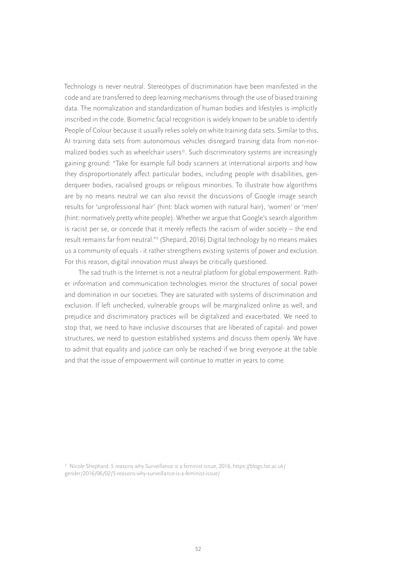Technology is never neutral. Stereotypes of discrimination have been manifested in the code and are transferred to deep learning mechanisms through the use of biased training data. The normalization and standardization of human bodies and lifestyles is implicitly inscribed in the code. Biometric facial recognition is widely known to be unable to identify People of Colour because it usually relies solely on white training data sets. Similar to this, AI training data sets from autonomous vehicles disregard training data from non-normalized bodies such as wheelchair users\*. Such discriminatory systems are increasingly gaining ground: "Take for example full body scanners at international airports and how they disproportionately affect particular bodies, including people with disabilities, genderqueer bodies, racialised groups or religious minorities. To illustrate how algorithms are by no means neutral we can also revisit the discussions of Google image search results for 'unprofessional hair' (hint: black women with natural hair), 'women' or 'men' (hint: normatively pretty white people). Whether we argue that Google's search algorithm is racist per se, or concede that it merely reflects the racism of wider society – the end result remains far from neutral."3 (Shepard, 2016) Digital technology by no means makes us a community of equals - it rather strengthens existing systems of power and exclusion. For this reason, digital innovation must always be critically questioned.

The sad truth is the Internet is not a neutral platform for global empowerment. Rather information and communication technologies mirror the structures of social power and domination in our societies. They are saturated with systems of discrimination and exclusion. If left unchecked, vulnerable groups will be marginalized online as well, and prejudice and discriminatory practices will be digitalized and exacerbated. We need to stop that, we need to have inclusive discourses that are liberated of capital- and power structures, we need to question established systems and discuss them openly. We have to admit that equality and justice can only be reached if we bring everyone at the table and that the issue of empowerment will continue to matter in years to come.

<sup>3</sup> Nicole Shephard: 5 reasons why Surveillance is a feminist issue, 2016, [https://blogs.lse.ac.uk/](https://blogs.lse.ac.uk/gender/2016/06/02/5-reasons-why-surveillance-is-a-feminist-issue/) [gender/2016/06/02/5-reasons-why-surveillance-is-a-feminist-issue/](https://blogs.lse.ac.uk/gender/2016/06/02/5-reasons-why-surveillance-is-a-feminist-issue/)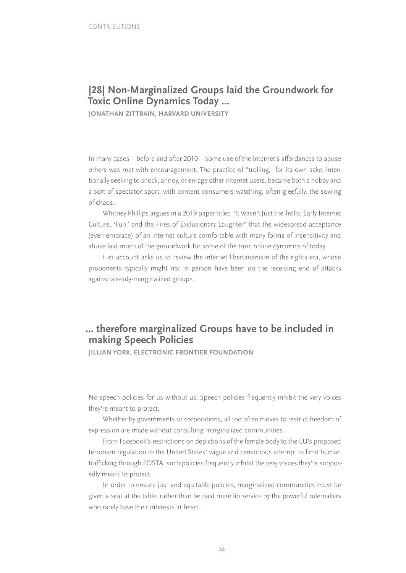# **|28| Non-Marginalized Groups laid the Groundwork for Toxic Online Dynamics Today …**

**JONATHAN ZITTRAIN, HARVARD UNIVERSITY**

In many cases – before and after 2010 – some use of the internet's affordances to abuse others was met with encouragement. The practice of "trolling," for its own sake, intentionally seeking to shock, annoy, or enrage other internet users, became both a hobby and a sort of spectator sport, with content consumers watching, often gleefully, the sowing of chaos.

Whitney Phillips argues in a 2019 paper titled "It Wasn't Just the Trolls: Early Internet Culture, 'Fun,' and the Fires of Exclusionary Laughter" that the widespread acceptance (even embrace) of an internet culture comfortable with many forms of insensitivity and abuse laid much of the groundwork for some of the toxic online dynamics of today.

Her account asks us to review the internet libertarianism of the rights era, whose proponents typically might not in person have been on the receiving end of attacks against already-marginalized groups.

# **… therefore marginalized Groups have to be included in making Speech Policies**

**JILLIAN YORK, ELECTRONIC FRONTIER FOUNDATION**

No speech policies for us without us: Speech policies frequently inhibit the very voices they're meant to protect.

Whether by governments or corporations, all too often moves to restrict freedom of expression are made without consulting marginalized communities.

From Facebook's restrictions on depictions of the female body to the EU's proposed terrorism regulation to the United States' vague and censorious attempt to limit human trafficking through FOSTA, such policies frequently inhibit the very voices they're supposedly meant to protect.

In order to ensure just and equitable policies, marginalized communities must be given a seat at the table, rather than be paid mere lip service by the powerful rulemakers who rarely have their interests at heart.

53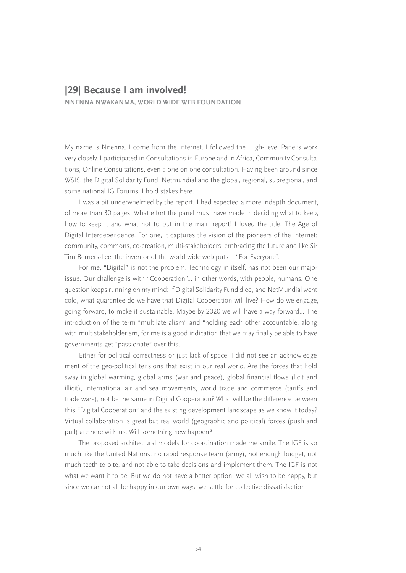### **|29| Because I am involved!**

**NNENNA NWAKANMA, WORLD WIDE WEB FOUNDATION**

My name is Nnenna. I come from the Internet. I followed the High-Level Panel's work very closely. I participated in Consultations in Europe and in Africa, Community Consultations, Online Consultations, even a one-on-one consultation. Having been around since WSIS, the Digital Solidarity Fund, Netmundial and the global, regional, subregional, and some national IG Forums. I hold stakes here.

I was a bit underwhelmed by the report. I had expected a more indepth document, of more than 30 pages! What effort the panel must have made in deciding what to keep, how to keep it and what not to put in the main report! I loved the title, The Age of Digital Interdependence. For one, it captures the vision of the pioneers of the Internet: community, commons, co-creation, multi-stakeholders, embracing the future and like Sir Tim Berners-Lee, the inventor of the world wide web puts it "For Everyone".

For me, "Digital" is not the problem. Technology in itself, has not been our major issue. Our challenge is with "Cooperation"... in other words, with people, humans. One question keeps running on my mind: If Digital Solidarity Fund died, and NetMundial went cold, what guarantee do we have that Digital Cooperation will live? How do we engage, going forward, to make it sustainable. Maybe by 2020 we will have a way forward... The introduction of the term "multilateralism" and "holding each other accountable, along with multistakeholderism, for me is a good indication that we may finally be able to have governments get "passionate" over this.

Either for political correctness or just lack of space, I did not see an acknowledgement of the geo-political tensions that exist in our real world. Are the forces that hold sway in global warming, global arms (war and peace), global financial flows (licit and illicit), international air and sea movements, world trade and commerce (tariffs and trade wars), not be the same in Digital Cooperation? What will be the difference between this "Digital Cooperation" and the existing development landscape as we know it today? Virtual collaboration is great but real world (geographic and political) forces (push and pull) are here with us. Will something new happen?

The proposed architectural models for coordination made me smile. The IGF is so much like the United Nations: no rapid response team (army), not enough budget, not much teeth to bite, and not able to take decisions and implement them. The IGF is not what we want it to be. But we do not have a better option. We all wish to be happy, but since we cannot all be happy in our own ways, we settle for collective dissatisfaction.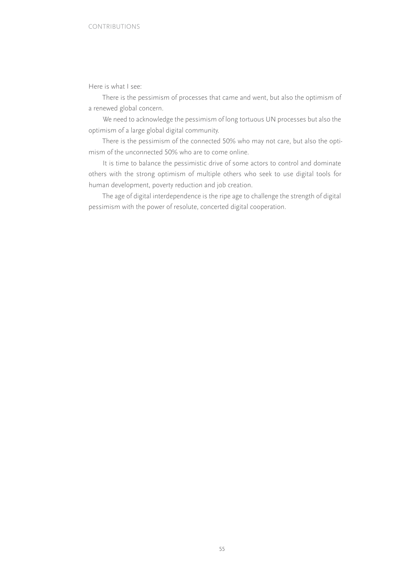Here is what I see:

There is the pessimism of processes that came and went, but also the optimism of a renewed global concern.

We need to acknowledge the pessimism of long tortuous UN processes but also the optimism of a large global digital community.

There is the pessimism of the connected 50% who may not care, but also the optimism of the unconnected 50% who are to come online.

It is time to balance the pessimistic drive of some actors to control and dominate others with the strong optimism of multiple others who seek to use digital tools for human development, poverty reduction and job creation.

The age of digital interdependence is the ripe age to challenge the strength of digital pessimism with the power of resolute, concerted digital cooperation.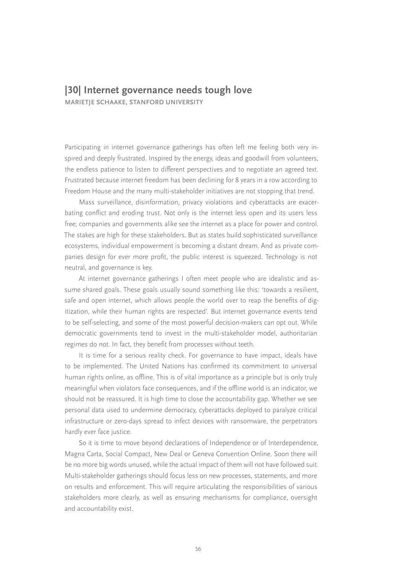# **|30| Internet governance needs tough love**

**MARIETJE SCHAAKE, STANFORD UNIVERSITY**

Participating in internet governance gatherings has often left me feeling both very inspired and deeply frustrated. Inspired by the energy, ideas and goodwill from volunteers, the endless patience to listen to different perspectives and to negotiate an agreed text. Frustrated because internet freedom has been declining for 8 years in a row according to Freedom House and the many multi-stakeholder initiatives are not stopping that trend.

Mass surveillance, disinformation, privacy violations and cyberattacks are exacerbating conflict and eroding trust. Not only is the internet less open and its users less free; companies and governments alike see the internet as a place for power and control. The stakes are high for these stakeholders. But as states build sophisticated surveillance ecosystems, individual empowerment is becoming a distant dream. And as private companies design for ever more profit, the public interest is squeezed. Technology is not neutral, and governance is key.

At internet governance gatherings I often meet people who are idealistic and assume shared goals. These goals usually sound something like this: 'towards a resilient, safe and open internet, which allows people the world over to reap the benefits of digitization, while their human rights are respected'. But internet governance events tend to be self-selecting, and some of the most powerful decision-makers can opt out. While democratic governments tend to invest in the multi-stakeholder model, authoritarian regimes do not. In fact, they benefit from processes without teeth.

It is time for a serious reality check. For governance to have impact, ideals have to be implemented. The United Nations has confirmed its commitment to universal human rights online, as offline. This is of vital importance as a principle but is only truly meaningful when violators face consequences, and if the offline world is an indicator, we should not be reassured. It is high time to close the accountability gap. Whether we see personal data used to undermine democracy, cyberattacks deployed to paralyze critical infrastructure or zero-days spread to infect devices with ransomware, the perpetrators hardly ever face justice.

So it is time to move beyond declarations of Independence or of Interdependence, Magna Carta, Social Compact, New Deal or Geneva Convention Online. Soon there will be no more big words unused, while the actual impact of them will not have followed suit. Multi-stakeholder gatherings should focus less on new processes, statements, and more on results and enforcement. This will require articulating the responsibilities of various stakeholders more clearly, as well as ensuring mechanisms for compliance, oversight and accountability exist.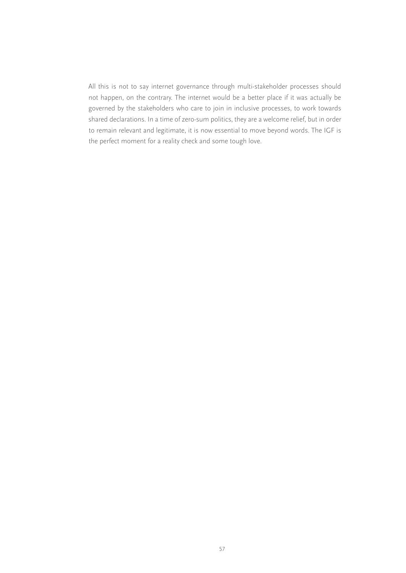All this is not to say internet governance through multi-stakeholder processes should not happen, on the contrary. The internet would be a better place if it was actually be governed by the stakeholders who care to join in inclusive processes, to work towards shared declarations. In a time of zero-sum politics, they are a welcome relief, but in order to remain relevant and legitimate, it is now essential to move beyond words. The IGF is the perfect moment for a reality check and some tough love.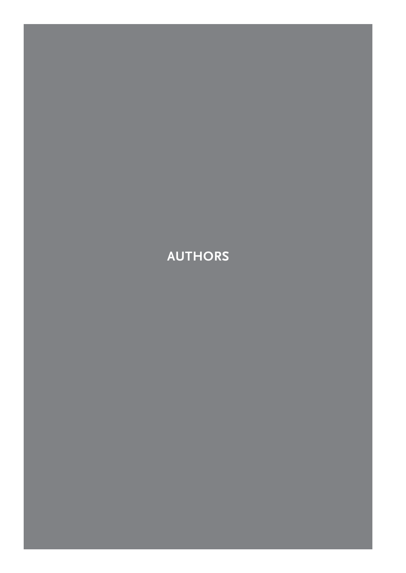# **AUTHORS**

58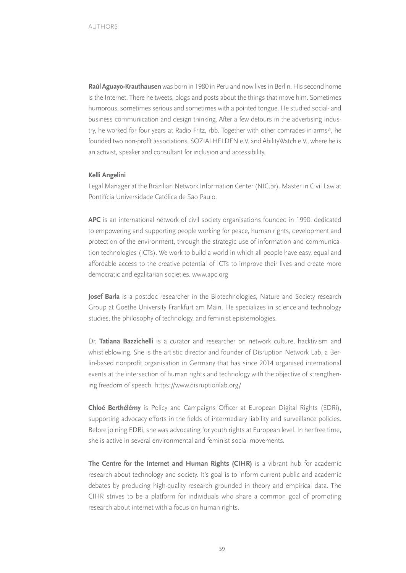**Raúl Aguayo-Krauthausen** was born in 1980 in Peru and now lives in Berlin. His second home is the Internet. There he tweets, blogs and posts about the things that move him. Sometimes humorous, sometimes serious and sometimes with a pointed tongue. He studied social- and business communication and design thinking. After a few detours in the advertising industry, he worked for four years at Radio Fritz, rbb. Together with other comrades-in-arms\*, he founded two non-profit associations, SOZIALHELDEN e.V. and AbilityWatch e.V., where he is an activist, speaker and consultant for inclusion and accessibility.

#### **Kelli Angelini**

Legal Manager at the Brazilian Network Information Center (NIC.br). Master in Civil Law at Pontifícia Universidade Católica de São Paulo.

**APC** is an international network of civil society organisations founded in 1990, dedicated to empowering and supporting people working for peace, human rights, development and protection of the environment, through the strategic use of information and communication technologies (ICTs). We work to build a world in which all people have easy, equal and affordable access to the creative potential of ICTs to improve their lives and create more democratic and egalitarian societies. www.apc.org

**Josef Barla** is a postdoc researcher in the Biotechnologies, Nature and Society research Group at Goethe University Frankfurt am Main. He specializes in science and technology studies, the philosophy of technology, and feminist epistemologies.

Dr. **Tatiana Bazzichelli** is a curator and researcher on network culture, hacktivism and whistleblowing. She is the artistic director and founder of Disruption Network Lab, a Berlin-based nonprofit organisation in Germany that has since 2014 organised international events at the intersection of human rights and technology with the objective of strengthening freedom of speech. <https://www.disruptionlab.org/>

**Chloé Berthélémy** is Policy and Campaigns Officer at European Digital Rights (EDRi), supporting advocacy efforts in the fields of intermediary liability and surveillance policies. Before joining EDRi, she was advocating for youth rights at European level. In her free time, she is active in several environmental and feminist social movements.

**The Centre for the Internet and Human Rights (CIHR)** is a vibrant hub for academic research about technology and society. It's goal is to inform current public and academic debates by producing high-quality research grounded in theory and empirical data. The CIHR strives to be a platform for individuals who share a common goal of promoting research about internet with a focus on human rights.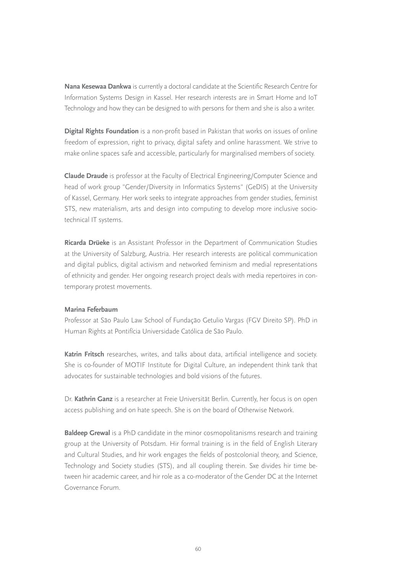**Nana Kesewaa Dankwa** is currently a doctoral candidate at the Scientific Research Centre for Information Systems Design in Kassel. Her research interests are in Smart Home and IoT Technology and how they can be designed to with persons for them and she is also a writer.

**Digital Rights Foundation** is a non-profit based in Pakistan that works on issues of online freedom of expression, right to privacy, digital safety and online harassment. We strive to make online spaces safe and accessible, particularly for marginalised members of society.

**Claude Draude** is professor at the Faculty of Electrical Engineering/Computer Science and head of work group "Gender/Diversity in Informatics Systems" (GeDIS) at the University of Kassel, Germany. Her work seeks to integrate approaches from gender studies, feminist STS, new materialism, arts and design into computing to develop more inclusive sociotechnical IT systems.

**Ricarda Drüeke** is an Assistant Professor in the Department of Communication Studies at the University of Salzburg, Austria. Her research interests are political communication and digital publics, digital activism and networked feminism and medial representations of ethnicity and gender. Her ongoing research project deals with media repertoires in contemporary protest movements.

#### **Marina Feferbaum**

Professor at São Paulo Law School of Fundação Getulio Vargas (FGV Direito SP). PhD in Human Rights at Pontifícia Universidade Católica de São Paulo.

**Katrin Fritsch** researches, writes, and talks about data, artificial intelligence and society. She is co-founder of MOTIF Institute for Digital Culture, an independent think tank that advocates for sustainable technologies and bold visions of the futures.

Dr. **Kathrin Ganz** is a researcher at Freie Universität Berlin. Currently, her focus is on open access publishing and on hate speech. She is on the board of Otherwise Network.

**Baldeep Grewal** is a PhD candidate in the minor cosmopolitanisms research and training group at the University of Potsdam. Hir formal training is in the field of English Literary and Cultural Studies, and hir work engages the fields of postcolonial theory, and Science, Technology and Society studies (STS), and all coupling therein. Sxe divides hir time between hir academic career, and hir role as a co-moderator of the Gender DC at the Internet Governance Forum.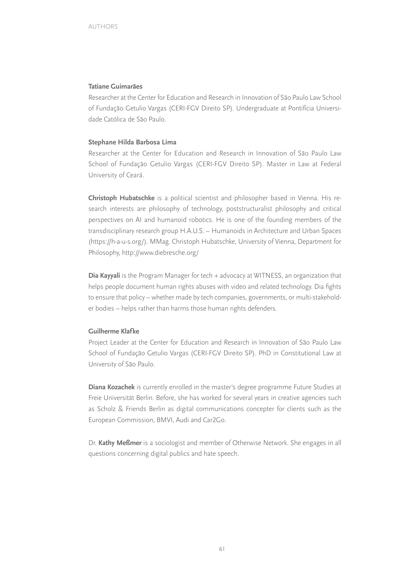#### **Tatiane Guimarães**

Researcher at the Center for Education and Research in Innovation of São Paulo Law School of Fundação Getulio Vargas (CERI-FGV Direito SP). Undergraduate at Pontifícia Universidade Católica de São Paulo.

#### **Stephane Hilda Barbosa Lima**

Researcher at the Center for Education and Research in Innovation of São Paulo Law School of Fundação Getulio Vargas (CERI-FGV Direito SP). Master in Law at Federal University of Ceará.

**Christoph Hubatschke** is a political scientist and philosopher based in Vienna. His research interests are philosophy of technology, poststructuralist philosophy and critical perspectives on AI and humanoid robotics. He is one of the founding members of the transdisciplinary research group H.A.U.S. – Humanoids in Architecture and Urban Spaces ([https://h-a-u-s.org/\)](https://h-a-u-s.org/). MMag. Christoph Hubatschke, University of Vienna, Department for Philosophy,<http://www.diebresche.org/>

**Dia Kayyali** is the Program Manager for tech + advocacy at WITNESS, an organization that helps people document human rights abuses with video and related technology. Dia fights to ensure that policy – whether made by tech companies, governments, or multi-stakeholder bodies – helps rather than harms those human rights defenders.

#### **Guilherme Klafke**

Project Leader at the Center for Education and Research in Innovation of São Paulo Law School of Fundação Getulio Vargas (CERI-FGV Direito SP). PhD in Constitutional Law at University of São Paulo.

**Diana Kozachek** is currently enrolled in the master's degree programme Future Studies at Freie Universität Berlin. Before, she has worked for several years in creative agencies such as Scholz & Friends Berlin as digital communications concepter for clients such as the European Commission, BMVI, Audi and Car2Go.

Dr. **Kathy Meßmer** is a sociologist and member of Otherwise Network. She engages in all questions concerning digital publics and hate speech.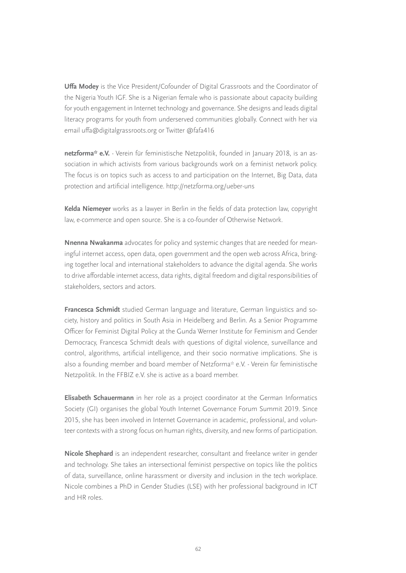**Uffa Modey** is the Vice President/Cofounder of Digital Grassroots and the Coordinator of the Nigeria Youth IGF. She is a Nigerian female who is passionate about capacity building for youth engagement in Internet technology and governance. She designs and leads digital literacy programs for youth from underserved communities globally. Connect with her via email uffa@digitalgrassroots.org or Twitter @fafa416

**netzforma\* e.V.** - Verein für feministische Netzpolitik, founded in January 2018, is an association in which activists from various backgrounds work on a feminist network policy. The focus is on topics such as access to and participation on the Internet, Big Data, data protection and artificial intelligence.<http://netzforma.org/ueber-uns>

**Kelda Niemeyer** works as a lawyer in Berlin in the fields of data protection law, copyright law, e-commerce and open source. She is a co-founder of Otherwise Network.

**Nnenna Nwakanma** advocates for policy and systemic changes that are needed for meaningful internet access, open data, open government and the open web across Africa, bringing together local and international stakeholders to advance the digital agenda. She works to drive affordable internet access, data rights, digital freedom and digital responsibilities of stakeholders, sectors and actors.

**Francesca Schmidt** studied German language and literature, German linguistics and society, history and politics in South Asia in Heidelberg and Berlin. As a Senior Programme Officer for Feminist Digital Policy at the Gunda Werner Institute for Feminism and Gender Democracy, Francesca Schmidt deals with questions of digital violence, surveillance and control, algorithms, artificial intelligence, and their socio normative implications. She is also a founding member and board member of Netzforma\* e.V. - Verein für feministische Netzpolitik. In the FFBIZ e.V. she is active as a board member.

**Elisabeth Schauermann** in her role as a project coordinator at the German Informatics Society (GI) organises the global Youth Internet Governance Forum Summit 2019. Since 2015, she has been involved in Internet Governance in academic, professional, and volunteer contexts with a strong focus on human rights, diversity, and new forms of participation.

**Nicole Shephard** is an independent researcher, consultant and freelance writer in gender and technology. She takes an intersectional feminist perspective on topics like the politics of data, surveillance, online harassment or diversity and inclusion in the tech workplace. Nicole combines a PhD in Gender Studies (LSE) with her professional background in ICT and HR roles.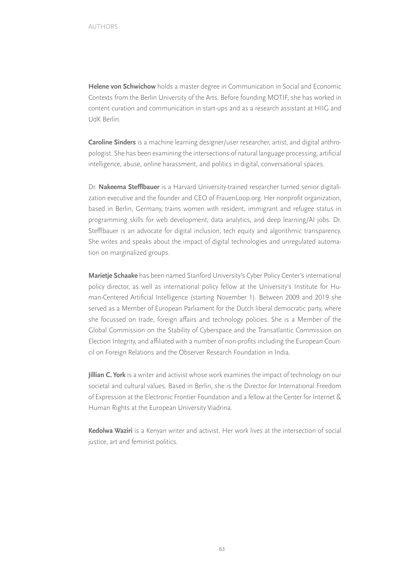**Helene von Schwichow** holds a master degree in Communication in Social and Economic Contexts from the Berlin University of the Arts. Before founding MOTIF, she has worked in content curation and communication in start-ups and as a research assistant at HIIG and UdK Berlin.

**Caroline Sinders** is a machine learning designer/user researcher, artist, and digital anthropologist. She has been examining the intersections of natural language processing, artificial intelligence, abuse, online harassment, and politics in digital, conversational spaces.

Dr. **Nakeema Stefflbauer** is a Harvard University-trained researcher turned senior digitalization executive and the founder and CEO of FrauenLoop.org. Her nonprofit organization, based in Berlin, Germany, trains women with resident, immigrant and refugee status in programming skills for web development, data analytics, and deep learning/AI jobs. Dr. Stefflbauer is an advocate for digital inclusion, tech equity and algorithmic transparency. She writes and speaks about the impact of digital technologies and unregulated automation on marginalized groups.

**Marietje Schaake** [has been named Stanford University's Cyber Policy Center's international](https://www.apc.org) [policy director, as well as international policy fellow at the University's Institute for Hu](https://www.apc.org)[man-Centered Artificial Intelligence \(starting November 1\). Between 2009 and 2019 she](https://www.apc.org) [served as a Member of European Parliament for the Dutch liberal democratic party, where](https://www.apc.org) [she focussed on trade, foreign affairs and technology policies. She is a Member of the](https://www.apc.org) [Global Commission on the Stability of Cyberspace and the Transatlantic Commission on](https://www.apc.org) [Election Integrity, and affiliated with a number of non-profits including the European Coun](https://www.apc.org)[cil on Foreign Relations and the Observer Research Foundation in India.](https://www.apc.org)

**Jillian C. York** [is a writer and activist whose work examines the impact of technology on our](https://www.apc.org) [societal and cultural values. Based in Berlin, she is the Director for International Freedom](https://www.apc.org) [of Expression at the Electronic Frontier Foundation and a fellow at the Center for Internet &](https://www.apc.org) [Human Rights at the European University Viadrina.](https://www.apc.org)

**Kedolwa Waziri** [is a Kenyan writer and activist. Her work lives at the intersection of social](https://www.apc.org) [justice, art and feminist politics.](https://www.apc.org)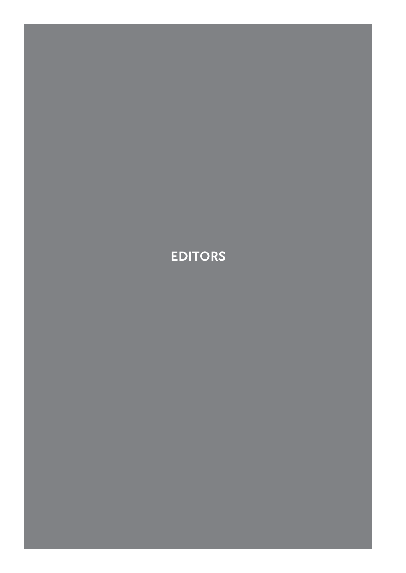**EDITORS**

64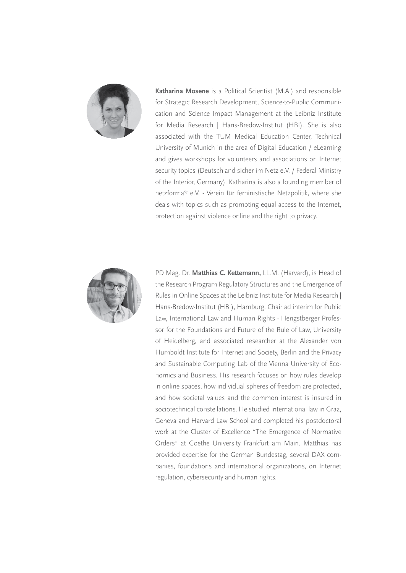

**Katharina Mosene** is a Political Scientist (M.A.) and responsible for Strategic Research Development, Science-to-Public Communication and Science Impact Management at the Leibniz Institute for Media Research | Hans-Bredow-Institut (HBI). She is also associated with the TUM Medical Education Center, Technical University of Munich in the area of Digital Education / eLearning and gives workshops for volunteers and associations on Internet security topics (Deutschland sicher im Netz e.V. / Federal Ministry of the Interior, Germany). Katharina is also a founding member of netzforma\* e.V. - Verein für feministische Netzpolitik, where she deals with topics such as promoting equal access to the Internet, protection against violence online and the right to privacy.



PD Mag. Dr. **Matthias C. Kettemann,** LL.M. (Harvard), is Head of the Research Program Regulatory Structures and the Emergence of Rules in Online Spaces at the Leibniz Institute for Media Research | Hans-Bredow-Institut (HBI), Hamburg, Chair ad interim for Public Law, International Law and Human Rights - Hengstberger Professor for the Foundations and Future of the Rule of Law, University of Heidelberg, and associated researcher at the Alexander von Humboldt Institute for Internet and Society, Berlin and the Privacy and Sustainable Computing Lab of the Vienna University of Economics and Business. His research focuses on how rules develop in online spaces, how individual spheres of freedom are protected, and how societal values and the common interest is insured in sociotechnical constellations. He studied international law in Graz, Geneva and Harvard Law School and completed his postdoctoral work at the Cluster of Excellence "The Emergence of Normative Orders" at Goethe University Frankfurt am Main. Matthias has provided expertise for the German Bundestag, several DAX companies, foundations and international organizations, on Internet regulation, cybersecurity and human rights.